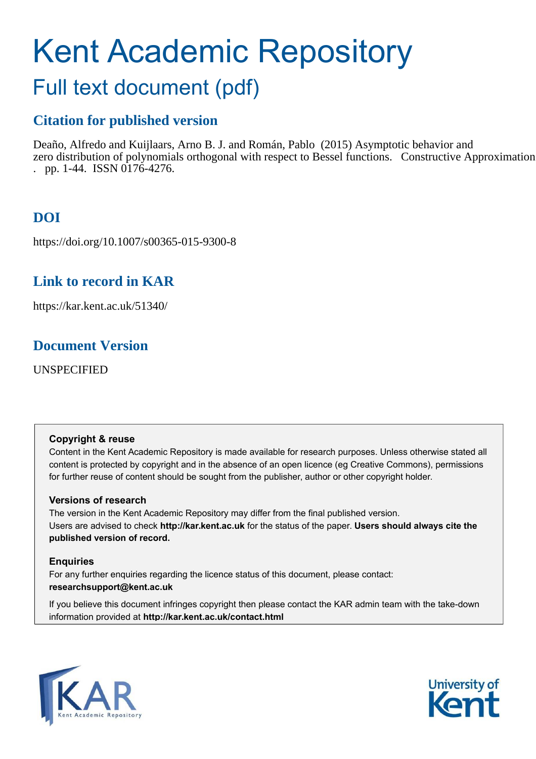# Kent Academic Repository

## Full text document (pdf)

## **Citation for published version**

Deaño, Alfredo and Kuijlaars, Arno B. J. and Román, Pablo (2015) Asymptotic behavior and zero distribution of polynomials orthogonal with respect to Bessel functions. Constructive Approximation . pp. 1-44. ISSN 0176-4276.

## **DOI**

https://doi.org/10.1007/s00365-015-9300-8

## **Link to record in KAR**

https://kar.kent.ac.uk/51340/

### **Document Version**

UNSPECIFIED

#### **Copyright & reuse**

Content in the Kent Academic Repository is made available for research purposes. Unless otherwise stated all content is protected by copyright and in the absence of an open licence (eg Creative Commons), permissions for further reuse of content should be sought from the publisher, author or other copyright holder.

#### **Versions of research**

The version in the Kent Academic Repository may differ from the final published version. Users are advised to check **http://kar.kent.ac.uk** for the status of the paper. **Users should always cite the published version of record.**

#### **Enquiries**

For any further enquiries regarding the licence status of this document, please contact: **researchsupport@kent.ac.uk**

If you believe this document infringes copyright then please contact the KAR admin team with the take-down information provided at **http://kar.kent.ac.uk/contact.html**



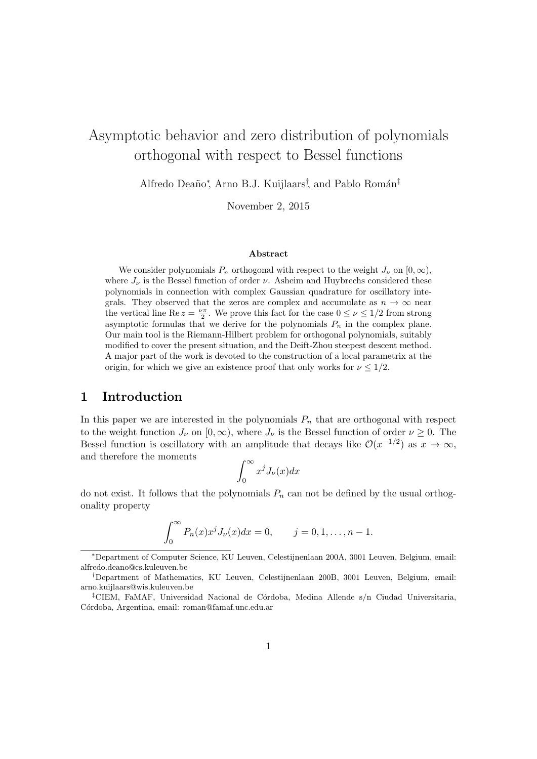## Asymptotic behavior and zero distribution of polynomials orthogonal with respect to Bessel functions

Alfredo Deaño\*, Arno B.J. Kuijlaars<sup>†</sup>, and Pablo Román<sup>‡</sup>

November 2, 2015

#### Abstract

We consider polynomials  $P_n$  orthogonal with respect to the weight  $J_{\nu}$  on  $[0, \infty)$ , where  $J_{\nu}$  is the Bessel function of order  $\nu$ . Asheim and Huybrechs considered these polynomials in connection with complex Gaussian quadrature for oscillatory integrals. They observed that the zeros are complex and accumulate as  $n \to \infty$  near the vertical line Re  $z = \frac{\nu \pi}{2}$ . We prove this fact for the case  $0 \leq \nu \leq 1/2$  from strong asymptotic formulas that we derive for the polynomials  $P_n$  in the complex plane. Our main tool is the Riemann-Hilbert problem for orthogonal polynomials, suitably modified to cover the present situation, and the Deift-Zhou steepest descent method. A major part of the work is devoted to the construction of a local parametrix at the origin, for which we give an existence proof that only works for  $\nu \leq 1/2$ .

#### 1 Introduction

In this paper we are interested in the polynomials  $P_n$  that are orthogonal with respect to the weight function  $J_{\nu}$  on  $[0,\infty)$ , where  $J_{\nu}$  is the Bessel function of order  $\nu \geq 0$ . The Bessel function is oscillatory with an amplitude that decays like  $\mathcal{O}(x^{-1/2})$  as  $x \to \infty$ , and therefore the moments

$$
\int_0^\infty x^j J_\nu(x) dx
$$

do not exist. It follows that the polynomials  $P_n$  can not be defined by the usual orthogonality property

$$
\int_0^{\infty} P_n(x) x^j J_{\nu}(x) dx = 0, \qquad j = 0, 1, \dots, n - 1.
$$

<sup>∗</sup>Department of Computer Science, KU Leuven, Celestijnenlaan 200A, 3001 Leuven, Belgium, email: alfredo.deano@cs.kuleuven.be

<sup>†</sup>Department of Mathematics, KU Leuven, Celestijnenlaan 200B, 3001 Leuven, Belgium, email: arno.kuijlaars@wis.kuleuven.be

<sup>&</sup>lt;sup>‡</sup>CIEM, FaMAF, Universidad Nacional de Córdoba, Medina Allende s/n Ciudad Universitaria, C´ordoba, Argentina, email: roman@famaf.unc.edu.ar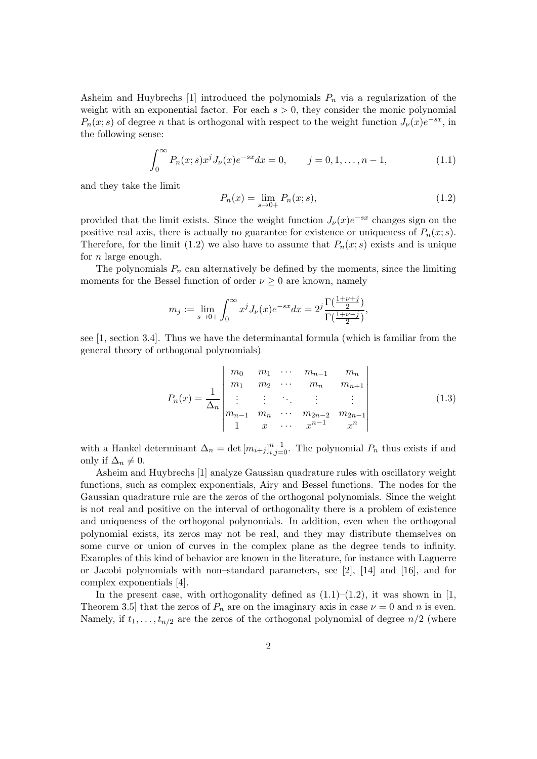Asheim and Huybrechs [1] introduced the polynomials  $P_n$  via a regularization of the weight with an exponential factor. For each  $s > 0$ , they consider the monic polynomial  $P_n(x; s)$  of degree n that is orthogonal with respect to the weight function  $J_{\nu}(x)e^{-sx}$ , in the following sense:

$$
\int_0^\infty P_n(x; s) x^j J_\nu(x) e^{-sx} dx = 0, \qquad j = 0, 1, \dots, n-1,
$$
\n(1.1)

and they take the limit

$$
P_n(x) = \lim_{s \to 0+} P_n(x; s),
$$
\n(1.2)

provided that the limit exists. Since the weight function  $J_{\nu}(x)e^{-sx}$  changes sign on the positive real axis, there is actually no guarantee for existence or uniqueness of  $P_n(x; s)$ . Therefore, for the limit (1.2) we also have to assume that  $P_n(x; s)$  exists and is unique for n large enough.

The polynomials  $P_n$  can alternatively be defined by the moments, since the limiting moments for the Bessel function of order  $\nu \geq 0$  are known, namely

$$
m_j := \lim_{s \to 0+} \int_0^\infty x^j J_\nu(x) e^{-sx} dx = 2^j \frac{\Gamma(\frac{1+\nu+j}{2})}{\Gamma(\frac{1+\nu-j}{2})},
$$

see [1, section 3.4]. Thus we have the determinantal formula (which is familiar from the general theory of orthogonal polynomials)

$$
P_n(x) = \frac{1}{\Delta_n} \begin{vmatrix} m_0 & m_1 & \cdots & m_{n-1} & m_n \\ m_1 & m_2 & \cdots & m_n & m_{n+1} \\ \vdots & \vdots & \ddots & \vdots & \vdots \\ m_{n-1} & m_n & \cdots & m_{2n-2} & m_{2n-1} \\ 1 & x & \cdots & x^{n-1} & x^n \end{vmatrix}
$$
 (1.3)

with a Hankel determinant  $\Delta_n = \det [m_{i+j}]_{i,j=0}^{n-1}$ . The polynomial  $P_n$  thus exists if and only if  $\Delta_n \neq 0$ .

Asheim and Huybrechs [1] analyze Gaussian quadrature rules with oscillatory weight functions, such as complex exponentials, Airy and Bessel functions. The nodes for the Gaussian quadrature rule are the zeros of the orthogonal polynomials. Since the weight is not real and positive on the interval of orthogonality there is a problem of existence and uniqueness of the orthogonal polynomials. In addition, even when the orthogonal polynomial exists, its zeros may not be real, and they may distribute themselves on some curve or union of curves in the complex plane as the degree tends to infinity. Examples of this kind of behavior are known in the literature, for instance with Laguerre or Jacobi polynomials with non–standard parameters, see [2], [14] and [16], and for complex exponentials [4].

In the present case, with orthogonality defined as  $(1.1)$ – $(1.2)$ , it was shown in [1, Theorem 3.5] that the zeros of  $P_n$  are on the imaginary axis in case  $\nu = 0$  and n is even. Namely, if  $t_1, \ldots, t_{n/2}$  are the zeros of the orthogonal polynomial of degree  $n/2$  (where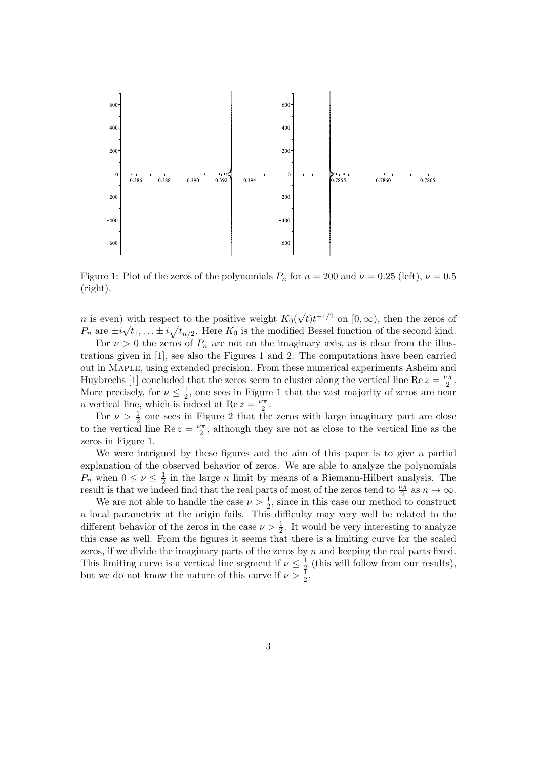

Figure 1: Plot of the zeros of the polynomials  $P_n$  for  $n = 200$  and  $\nu = 0.25$  (left),  $\nu = 0.5$ (right).

*n* is even) with respect to the positive weight  $K_0(\sqrt{t})t^{-1/2}$  on  $[0,\infty)$ , then the zeros of  $P_n$  are  $\pm i\sqrt{t_1}, \ldots \pm i\sqrt{t_{n/2}}$ . Here  $K_0$  is the modified Bessel function of the second kind.

For  $\nu > 0$  the zeros of  $P_n$  are not on the imaginary axis, as is clear from the illustrations given in [1], see also the Figures 1 and 2. The computations have been carried out in Maple, using extended precision. From these numerical experiments Asheim and Huybrechs [1] concluded that the zeros seem to cluster along the vertical line Re  $z = \frac{\nu \pi}{2}$  $rac{\sqrt{\pi}}{2}$ . More precisely, for  $\nu \leq \frac{1}{2}$  $\frac{1}{2}$ , one sees in Figure 1 that the vast majority of zeros are near a vertical line, which is indeed at Re  $z = \frac{\nu \pi}{2}$  $rac{\sqrt{\pi}}{2}$ .

For  $\nu > \frac{1}{2}$  one sees in Figure 2 that the zeros with large imaginary part are close to the vertical line Re  $z = \frac{\nu \pi}{2}$  $\frac{\sqrt{\pi}}{2}$ , although they are not as close to the vertical line as the zeros in Figure 1.

We were intrigued by these figures and the aim of this paper is to give a partial explanation of the observed behavior of zeros. We are able to analyze the polynomials  $P_n$  when  $0 \leq \nu \leq \frac{1}{2}$  $\frac{1}{2}$  in the large *n* limit by means of a Riemann-Hilbert analysis. The result is that we indeed find that the real parts of most of the zeros tend to  $\frac{\nu \pi}{2}$  as  $n \to \infty$ .

We are not able to handle the case  $\nu > \frac{1}{2}$ , since in this case our method to construct a local parametrix at the origin fails. This difficulty may very well be related to the different behavior of the zeros in the case  $\nu > \frac{1}{2}$ . It would be very interesting to analyze this case as well. From the figures it seems that there is a limiting curve for the scaled zeros, if we divide the imaginary parts of the zeros by n and keeping the real parts fixed. This limiting curve is a vertical line segment if  $\nu \leq \frac{1}{3}$  $\frac{1}{2}$  (this will follow from our results), but we do not know the nature of this curve if  $\nu > \frac{1}{2}$ .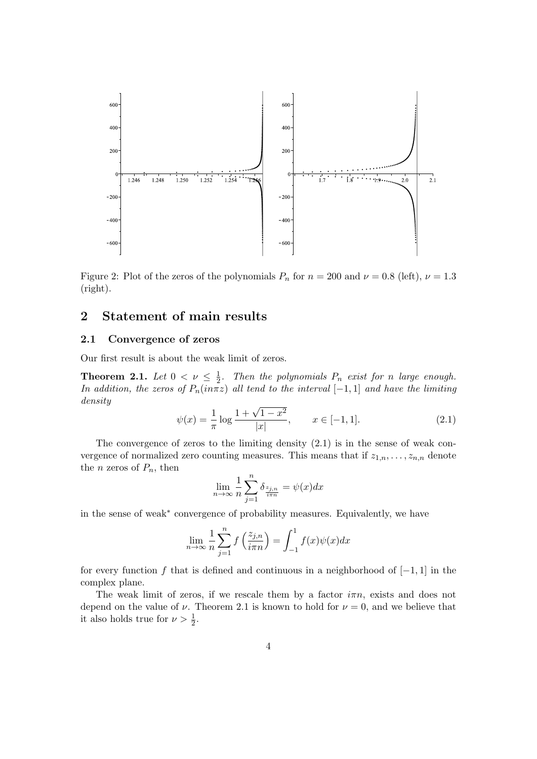

Figure 2: Plot of the zeros of the polynomials  $P_n$  for  $n = 200$  and  $\nu = 0.8$  (left),  $\nu = 1.3$ (right).

#### 2 Statement of main results

#### 2.1 Convergence of zeros

Our first result is about the weak limit of zeros.

**Theorem 2.1.** Let  $0 < \nu \leq \frac{1}{2}$  $\frac{1}{2}$ . Then the polynomials  $P_n$  exist for n large enough. In addition, the zeros of  $P_n(in\pi z)$  all tend to the interval [−1, 1] and have the limiting density

$$
\psi(x) = \frac{1}{\pi} \log \frac{1 + \sqrt{1 - x^2}}{|x|}, \qquad x \in [-1, 1].
$$
\n(2.1)

The convergence of zeros to the limiting density  $(2.1)$  is in the sense of weak convergence of normalized zero counting measures. This means that if  $z_{1,n},\ldots,z_{n,n}$  denote the *n* zeros of  $P_n$ , then

$$
\lim_{n \to \infty} \frac{1}{n} \sum_{j=1}^{n} \delta_{\frac{z_{j,n}}{i\pi n}} = \psi(x) dx
$$

in the sense of weak∗ convergence of probability measures. Equivalently, we have

$$
\lim_{n \to \infty} \frac{1}{n} \sum_{j=1}^{n} f\left(\frac{z_{j,n}}{i\pi n}\right) = \int_{-1}^{1} f(x)\psi(x)dx
$$

for every function f that is defined and continuous in a neighborhood of  $[-1, 1]$  in the complex plane.

The weak limit of zeros, if we rescale them by a factor  $i\pi n$ , exists and does not depend on the value of  $\nu$ . Theorem 2.1 is known to hold for  $\nu = 0$ , and we believe that it also holds true for  $\nu > \frac{1}{2}$ .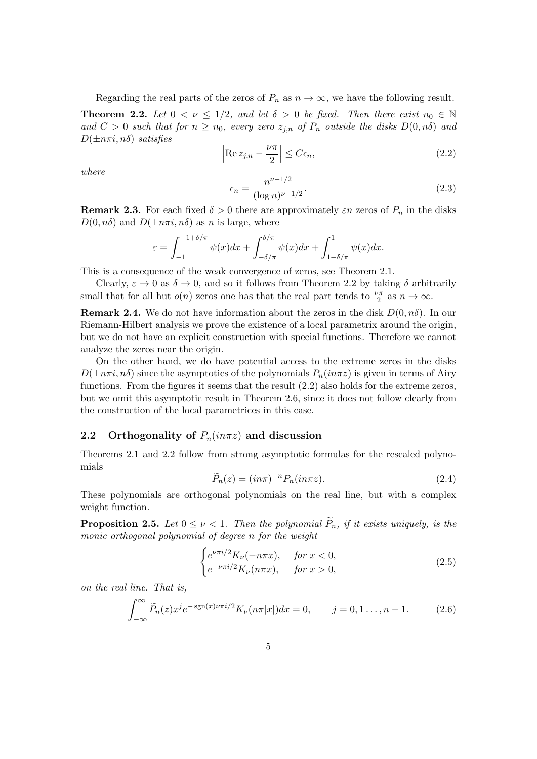Regarding the real parts of the zeros of  $P_n$  as  $n \to \infty$ , we have the following result.

**Theorem 2.2.** Let  $0 < \nu \leq 1/2$ , and let  $\delta > 0$  be fixed. Then there exist  $n_0 \in \mathbb{N}$ and  $C > 0$  such that for  $n \geq n_0$ , every zero  $z_{j,n}$  of  $P_n$  outside the disks  $D(0,n\delta)$  and  $D(\pm n\pi i, n\delta)$  satisfies

$$
\left| \operatorname{Re} z_{j,n} - \frac{\nu \pi}{2} \right| \le C \epsilon_n,
$$
\n(2.2)

where

$$
\epsilon_n = \frac{n^{\nu - 1/2}}{(\log n)^{\nu + 1/2}}.\tag{2.3}
$$

**Remark 2.3.** For each fixed  $\delta > 0$  there are approximately  $\varepsilon n$  zeros of  $P_n$  in the disks  $D(0, n\delta)$  and  $D(\pm n\pi i, n\delta)$  as n is large, where

$$
\varepsilon = \int_{-1}^{-1+\delta/\pi} \psi(x) dx + \int_{-\delta/\pi}^{\delta/\pi} \psi(x) dx + \int_{1-\delta/\pi}^{1} \psi(x) dx.
$$

This is a consequence of the weak convergence of zeros, see Theorem 2.1.

Clearly,  $\varepsilon \to 0$  as  $\delta \to 0$ , and so it follows from Theorem 2.2 by taking  $\delta$  arbitrarily small that for all but  $o(n)$  zeros one has that the real part tends to  $\frac{\nu \pi}{2}$  as  $n \to \infty$ .

**Remark 2.4.** We do not have information about the zeros in the disk  $D(0, n\delta)$ . In our Riemann-Hilbert analysis we prove the existence of a local parametrix around the origin, but we do not have an explicit construction with special functions. Therefore we cannot analyze the zeros near the origin.

On the other hand, we do have potential access to the extreme zeros in the disks  $D(\pm n\pi i, n\delta)$  since the asymptotics of the polynomials  $P_n(in\pi z)$  is given in terms of Airy functions. From the figures it seems that the result (2.2) also holds for the extreme zeros, but we omit this asymptotic result in Theorem 2.6, since it does not follow clearly from the construction of the local parametrices in this case.

#### 2.2 Orthogonality of  $P_n(in\pi z)$  and discussion

Theorems 2.1 and 2.2 follow from strong asymptotic formulas for the rescaled polynomials

$$
\widetilde{P}_n(z) = (in\pi)^{-n} P_n(in\pi z). \tag{2.4}
$$

These polynomials are orthogonal polynomials on the real line, but with a complex weight function.

**Proposition 2.5.** Let  $0 \leq \nu < 1$ . Then the polynomial  $P_n$ , if it exists uniquely, is the monic orthogonal polynomial of degree n for the weight

$$
\begin{cases} e^{\nu \pi i/2} K_{\nu}(-n\pi x), & \text{for } x < 0, \\ e^{-\nu \pi i/2} K_{\nu}(n\pi x), & \text{for } x > 0, \end{cases}
$$
 (2.5)

on the real line. That is,

$$
\int_{-\infty}^{\infty} \widetilde{P}_n(z) x^j e^{-\operatorname{sgn}(x)\nu \pi i/2} K_{\nu}(n\pi |x|) dx = 0, \qquad j = 0, 1, \ldots, n-1.
$$
 (2.6)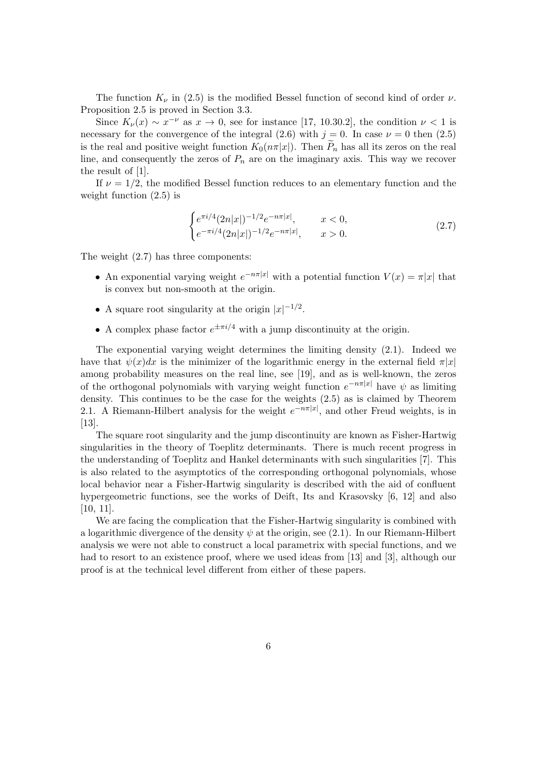The function  $K_{\nu}$  in (2.5) is the modified Bessel function of second kind of order  $\nu$ . Proposition 2.5 is proved in Section 3.3.

Since  $K_{\nu}(x) \sim x^{-\nu}$  as  $x \to 0$ , see for instance [17, 10.30.2], the condition  $\nu < 1$  is necessary for the convergence of the integral (2.6) with  $j = 0$ . In case  $\nu = 0$  then (2.5) is the real and positive weight function  $K_0(n\pi|x|)$ . Then  $\widetilde{P}_n$  has all its zeros on the real line, and consequently the zeros of  $P_n$  are on the imaginary axis. This way we recover the result of [1].

If  $\nu = 1/2$ , the modified Bessel function reduces to an elementary function and the weight function (2.5) is

$$
\begin{cases} e^{\pi i/4} (2n|x|)^{-1/2} e^{-n\pi |x|}, & x < 0, \\ e^{-\pi i/4} (2n|x|)^{-1/2} e^{-n\pi |x|}, & x > 0. \end{cases}
$$
 (2.7)

The weight (2.7) has three components:

- An exponential varying weight  $e^{-n\pi|x|}$  with a potential function  $V(x) = \pi|x|$  that is convex but non-smooth at the origin.
- A square root singularity at the origin  $|x|^{-1/2}$ .
- A complex phase factor  $e^{\pm \pi i/4}$  with a jump discontinuity at the origin.

The exponential varying weight determines the limiting density (2.1). Indeed we have that  $\psi(x)dx$  is the minimizer of the logarithmic energy in the external field  $\pi|x|$ among probability measures on the real line, see [19], and as is well-known, the zeros of the orthogonal polynomials with varying weight function  $e^{-n\pi|x|}$  have  $\psi$  as limiting density. This continues to be the case for the weights (2.5) as is claimed by Theorem 2.1. A Riemann-Hilbert analysis for the weight  $e^{-n\pi|x|}$ , and other Freud weights, is in [13].

The square root singularity and the jump discontinuity are known as Fisher-Hartwig singularities in the theory of Toeplitz determinants. There is much recent progress in the understanding of Toeplitz and Hankel determinants with such singularities [7]. This is also related to the asymptotics of the corresponding orthogonal polynomials, whose local behavior near a Fisher-Hartwig singularity is described with the aid of confluent hypergeometric functions, see the works of Deift, Its and Krasovsky [6, 12] and also [10, 11].

We are facing the complication that the Fisher-Hartwig singularity is combined with a logarithmic divergence of the density  $\psi$  at the origin, see (2.1). In our Riemann-Hilbert analysis we were not able to construct a local parametrix with special functions, and we had to resort to an existence proof, where we used ideas from [13] and [3], although our proof is at the technical level different from either of these papers.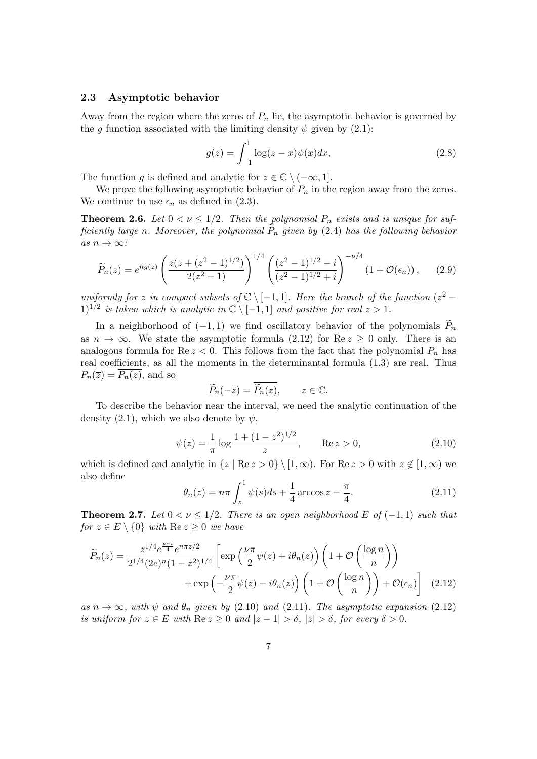#### 2.3 Asymptotic behavior

Away from the region where the zeros of  $P_n$  lie, the asymptotic behavior is governed by the g function associated with the limiting density  $\psi$  given by (2.1):

$$
g(z) = \int_{-1}^{1} \log(z - x) \psi(x) dx,
$$
 (2.8)

The function g is defined and analytic for  $z \in \mathbb{C} \setminus (-\infty, 1]$ .

We prove the following asymptotic behavior of  $P_n$  in the region away from the zeros. We continue to use  $\epsilon_n$  as defined in (2.3).

**Theorem 2.6.** Let  $0 < \nu \leq 1/2$ . Then the polynomial  $P_n$  exists and is unique for sufficiently large n. Moreover, the polynomial  $P_n$  given by (2.4) has the following behavior as  $n \to \infty$ :

$$
\widetilde{P}_n(z) = e^{ng(z)} \left( \frac{z(z + (z^2 - 1)^{1/2})}{2(z^2 - 1)} \right)^{1/4} \left( \frac{(z^2 - 1)^{1/2} - i}{(z^2 - 1)^{1/2} + i} \right)^{-\nu/4} \left( 1 + \mathcal{O}(\epsilon_n) \right), \tag{2.9}
$$

uniformly for z in compact subsets of  $\mathbb{C} \setminus [-1,1]$ . Here the branch of the function  $(z^2 - z^2)$  $1)^{1/2}$  is taken which is analytic in  $\mathbb{C} \setminus [-1,1]$  and positive for real  $z > 1$ .

In a neighborhood of  $(-1, 1)$  we find oscillatory behavior of the polynomials  $\widetilde{P}_n$ as  $n \to \infty$ . We state the asymptotic formula (2.12) for Re  $z \geq 0$  only. There is an analogous formula for  $\text{Re } z < 0$ . This follows from the fact that the polynomial  $P_n$  has real coefficients, as all the moments in the determinantal formula (1.3) are real. Thus  $P_n(\overline{z}) = P_n(z)$ , and so

$$
\widetilde{P}_n(-\overline{z}) = \overline{\widetilde{P}_n(z)}, \qquad z \in \mathbb{C}.
$$

To describe the behavior near the interval, we need the analytic continuation of the density (2.1), which we also denote by  $\psi$ ,

$$
\psi(z) = \frac{1}{\pi} \log \frac{1 + (1 - z^2)^{1/2}}{z}, \qquad \text{Re } z > 0,
$$
\n(2.10)

which is defined and analytic in  $\{z \mid \text{Re } z > 0\} \setminus [1, \infty)$ . For  $\text{Re } z > 0$  with  $z \notin [1, \infty)$  we also define

$$
\theta_n(z) = n\pi \int_z^1 \psi(s)ds + \frac{1}{4} \arccos z - \frac{\pi}{4}.
$$
 (2.11)

**Theorem 2.7.** Let  $0 < \nu \leq 1/2$ . There is an open neighborhood E of  $(-1, 1)$  such that for  $z \in E \setminus \{0\}$  with  $\text{Re } z \geq 0$  we have

$$
\widetilde{P}_n(z) = \frac{z^{1/4} e^{\frac{\nu \pi i}{4}} e^{n\pi z/2}}{2^{1/4} (2e)^n (1-z^2)^{1/4}} \left[ \exp\left(\frac{\nu \pi}{2} \psi(z) + i\theta_n(z)\right) \left(1 + \mathcal{O}\left(\frac{\log n}{n}\right)\right) + \exp\left(-\frac{\nu \pi}{2} \psi(z) - i\theta_n(z)\right) \left(1 + \mathcal{O}\left(\frac{\log n}{n}\right)\right) + \mathcal{O}(\epsilon_n) \right] \tag{2.12}
$$

as  $n \to \infty$ , with  $\psi$  and  $\theta_n$  given by (2.10) and (2.11). The asymptotic expansion (2.12) is uniform for  $z \in E$  with  $\text{Re } z \geq 0$  and  $|z - 1| > \delta$ ,  $|z| > \delta$ , for every  $\delta > 0$ .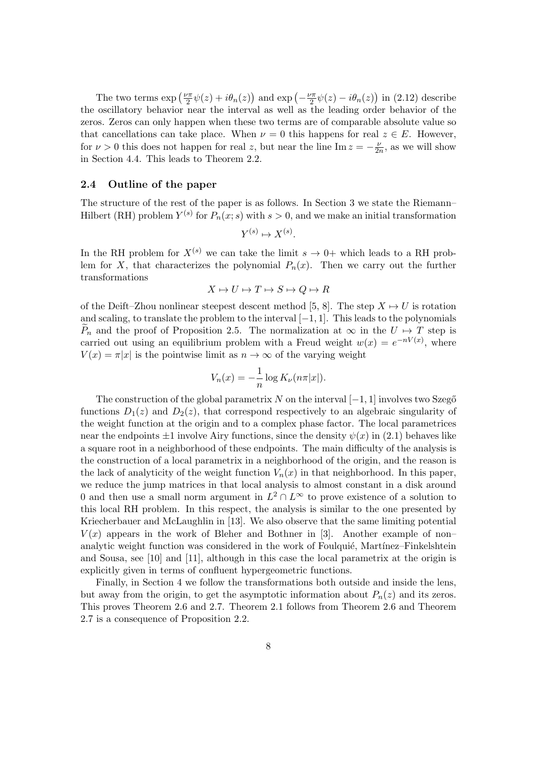The two terms  $\exp\left(\frac{\nu\pi}{2}\right)$  $\frac{\partial \pi}{\partial x}\psi(z) + i\theta_n(z)$  and  $\exp\left(-\frac{\nu\pi}{2}\right)$  $\frac{\partial \pi}{\partial x}\psi(z) - i\theta_n(z)$  in (2.12) describe the oscillatory behavior near the interval as well as the leading order behavior of the zeros. Zeros can only happen when these two terms are of comparable absolute value so that cancellations can take place. When  $\nu = 0$  this happens for real  $z \in E$ . However, for  $\nu > 0$  this does not happen for real z, but near the line Im  $z = -\frac{\nu}{2i}$  $\frac{\nu}{2n}$ , as we will show in Section 4.4. This leads to Theorem 2.2.

#### 2.4 Outline of the paper

The structure of the rest of the paper is as follows. In Section 3 we state the Riemann– Hilbert (RH) problem  $Y^{(s)}$  for  $P_n(x; s)$  with  $s > 0$ , and we make an initial transformation

$$
Y^{(s)} \mapsto X^{(s)}.
$$

In the RH problem for  $X^{(s)}$  we can take the limit  $s \to 0+$  which leads to a RH problem for X, that characterizes the polynomial  $P_n(x)$ . Then we carry out the further transformations

$$
X \mapsto U \mapsto T \mapsto S \mapsto Q \mapsto R
$$

of the Deift–Zhou nonlinear steepest descent method [5, 8]. The step  $X \mapsto U$  is rotation and scaling, to translate the problem to the interval  $[-1, 1]$ . This leads to the polynomials  $\widetilde{P}_n$  and the proof of Proposition 2.5. The normalization at  $\infty$  in the  $U \mapsto T$  step is carried out using an equilibrium problem with a Freud weight  $w(x) = e^{-nV(x)}$ , where  $V(x) = \pi |x|$  is the pointwise limit as  $n \to \infty$  of the varying weight

$$
V_n(x) = -\frac{1}{n} \log K_{\nu}(n\pi |x|).
$$

The construction of the global parametrix N on the interval  $[-1, 1]$  involves two Szegő functions  $D_1(z)$  and  $D_2(z)$ , that correspond respectively to an algebraic singularity of the weight function at the origin and to a complex phase factor. The local parametrices near the endpoints  $\pm 1$  involve Airy functions, since the density  $\psi(x)$  in (2.1) behaves like a square root in a neighborhood of these endpoints. The main difficulty of the analysis is the construction of a local parametrix in a neighborhood of the origin, and the reason is the lack of analyticity of the weight function  $V_n(x)$  in that neighborhood. In this paper, we reduce the jump matrices in that local analysis to almost constant in a disk around 0 and then use a small norm argument in  $L^2 \cap L^{\infty}$  to prove existence of a solution to this local RH problem. In this respect, the analysis is similar to the one presented by Kriecherbauer and McLaughlin in [13]. We also observe that the same limiting potential  $V(x)$  appears in the work of Bleher and Bothner in [3]. Another example of non– analytic weight function was considered in the work of Foulquié, Martínez–Finkelshtein and Sousa, see [10] and [11], although in this case the local parametrix at the origin is explicitly given in terms of confluent hypergeometric functions.

Finally, in Section 4 we follow the transformations both outside and inside the lens, but away from the origin, to get the asymptotic information about  $P_n(z)$  and its zeros. This proves Theorem 2.6 and 2.7. Theorem 2.1 follows from Theorem 2.6 and Theorem 2.7 is a consequence of Proposition 2.2.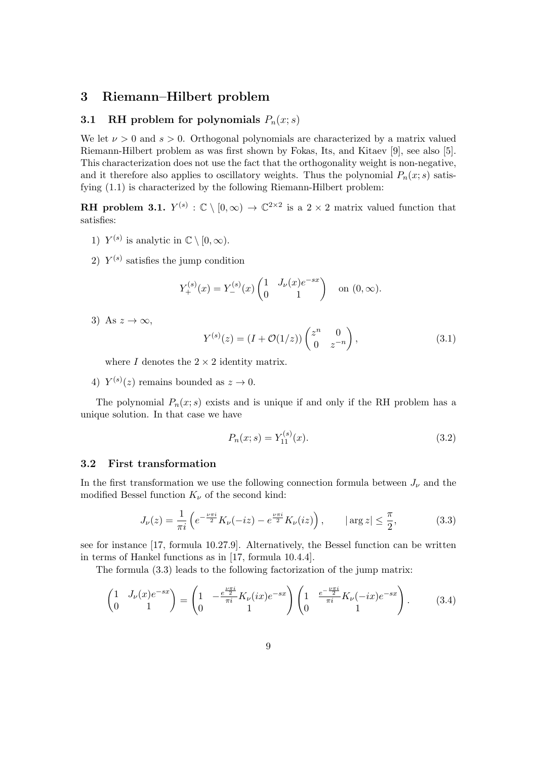#### 3 Riemann–Hilbert problem

#### 3.1 RH problem for polynomials  $P_n(x; s)$

We let  $\nu > 0$  and  $s > 0$ . Orthogonal polynomials are characterized by a matrix valued Riemann-Hilbert problem as was first shown by Fokas, Its, and Kitaev [9], see also [5]. This characterization does not use the fact that the orthogonality weight is non-negative, and it therefore also applies to oscillatory weights. Thus the polynomial  $P_n(x; s)$  satisfying (1.1) is characterized by the following Riemann-Hilbert problem:

**RH** problem 3.1.  $Y^{(s)} : \mathbb{C} \setminus [0, \infty) \to \mathbb{C}^{2 \times 2}$  is a 2 × 2 matrix valued function that satisfies:

- 1)  $Y^{(s)}$  is analytic in  $\mathbb{C} \setminus [0, \infty)$ .
- 2)  $Y^{(s)}$  satisfies the jump condition

$$
Y_{+}^{(s)}(x) = Y_{-}^{(s)}(x) \begin{pmatrix} 1 & J_{\nu}(x)e^{-sx} \\ 0 & 1 \end{pmatrix} \text{ on } (0, \infty).
$$

3) As  $z \to \infty$ ,

$$
Y^{(s)}(z) = (I + \mathcal{O}(1/z)) \begin{pmatrix} z^n & 0\\ 0 & z^{-n} \end{pmatrix},
$$
\n(3.1)

where I denotes the  $2 \times 2$  identity matrix.

4)  $Y^{(s)}(z)$  remains bounded as  $z \to 0$ .

The polynomial  $P_n(x; s)$  exists and is unique if and only if the RH problem has a unique solution. In that case we have

$$
P_n(x; s) = Y_{11}^{(s)}(x). \tag{3.2}
$$

#### 3.2 First transformation

In the first transformation we use the following connection formula between  $J_{\nu}$  and the modified Bessel function  $K_{\nu}$  of the second kind:

$$
J_{\nu}(z) = \frac{1}{\pi i} \left( e^{-\frac{\nu \pi i}{2}} K_{\nu}(-iz) - e^{\frac{\nu \pi i}{2}} K_{\nu}(iz) \right), \qquad |\arg z| \le \frac{\pi}{2}, \tag{3.3}
$$

see for instance [17, formula 10.27.9]. Alternatively, the Bessel function can be written in terms of Hankel functions as in [17, formula 10.4.4].

The formula (3.3) leads to the following factorization of the jump matrix:

$$
\begin{pmatrix} 1 & J_{\nu}(x)e^{-sx} \\ 0 & 1 \end{pmatrix} = \begin{pmatrix} 1 & -\frac{e^{\frac{\nu\pi i}{2}}}{\pi i}K_{\nu}(ix)e^{-sx} \\ 0 & 1 \end{pmatrix} \begin{pmatrix} 1 & \frac{e^{-\frac{\nu\pi i}{2}}}{\pi i}K_{\nu}(-ix)e^{-sx} \\ 0 & 1 \end{pmatrix}.
$$
 (3.4)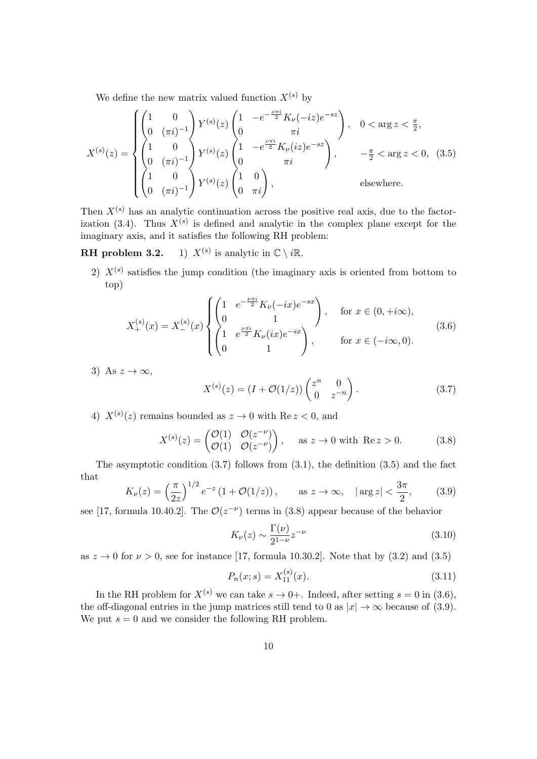We define the new matrix valued function  $X^{(s)}$  by

$$
X^{(s)}(z) = \begin{cases} \begin{pmatrix} 1 & 0 \\ 0 & (\pi i)^{-1} \end{pmatrix} Y^{(s)}(z) \begin{pmatrix} 1 & -e^{-\frac{\nu \pi i}{2}} K_{\nu}(-iz) e^{-sz} \\ 0 & \pi i \end{pmatrix}, & 0 < \arg z < \frac{\pi}{2}, \\ \begin{pmatrix} 1 & 0 \\ 0 & (\pi i)^{-1} \end{pmatrix} Y^{(s)}(z) \begin{pmatrix} 1 & -e^{\frac{\nu \pi i}{2}} K_{\nu}(iz) e^{-sz} \\ 0 & \pi i \end{pmatrix}, & -\frac{\pi}{2} < \arg z < 0, (3.5) \\ \begin{pmatrix} 1 & 0 \\ 0 & (\pi i)^{-1} \end{pmatrix} Y^{(s)}(z) \begin{pmatrix} 1 & 0 \\ 0 & \pi i \end{pmatrix}, & \text{elsewhere.} \end{cases}
$$

Then  $X^{(s)}$  has an analytic continuation across the positive real axis, due to the factorization (3.4). Thus  $X^{(s)}$  is defined and analytic in the complex plane except for the imaginary axis, and it satisfies the following RH problem:

 $RH$  problem  $3.2$ . 1)  $X^{(s)}$  is analytic in  $\mathbb{C} \setminus i\mathbb{R}$ .

2)  $X^{(s)}$  satisfies the jump condition (the imaginary axis is oriented from bottom to top)

$$
X_{+}^{(s)}(x) = X_{-}^{(s)}(x) \begin{cases} \begin{pmatrix} 1 & e^{-\frac{\nu \pi i}{2}} K_{\nu}(-ix)e^{-sx} \\ 0 & 1 \end{pmatrix}, & \text{for } x \in (0, +i\infty), \\ \begin{pmatrix} 1 & e^{\frac{\nu \pi i}{2}} K_{\nu}(ix)e^{-sx} \\ 0 & 1 \end{pmatrix}, & \text{for } x \in (-i\infty, 0). \end{cases}
$$
(3.6)

3) As  $z \to \infty$ ,

$$
X^{(s)}(z) = (I + \mathcal{O}(1/z)) \begin{pmatrix} z^n & 0\\ 0 & z^{-n} \end{pmatrix}.
$$
 (3.7)

4)  $X^{(s)}(z)$  remains bounded as  $z \to 0$  with  $\text{Re } z < 0$ , and

$$
X^{(s)}(z) = \begin{pmatrix} \mathcal{O}(1) & \mathcal{O}(z^{-\nu}) \\ \mathcal{O}(1) & \mathcal{O}(z^{-\nu}) \end{pmatrix}, \quad \text{as } z \to 0 \text{ with } \text{Re } z > 0.
$$
 (3.8)

The asymptotic condition  $(3.7)$  follows from  $(3.1)$ , the definition  $(3.5)$  and the fact that

$$
K_{\nu}(z) = \left(\frac{\pi}{2z}\right)^{1/2} e^{-z} \left(1 + \mathcal{O}(1/z)\right), \qquad \text{as } z \to \infty, \quad |\arg z| < \frac{3\pi}{2}, \tag{3.9}
$$

see [17, formula 10.40.2]. The  $\mathcal{O}(z^{-\nu})$  terms in (3.8) appear because of the behavior

$$
K_{\nu}(z) \sim \frac{\Gamma(\nu)}{2^{1-\nu}} z^{-\nu}
$$
\n(3.10)

as  $z \to 0$  for  $\nu > 0$ , see for instance [17, formula 10.30.2]. Note that by (3.2) and (3.5)

$$
P_n(x; s) = X_{11}^{(s)}(x). \tag{3.11}
$$

In the RH problem for  $X^{(s)}$  we can take  $s \to 0+$ . Indeed, after setting  $s = 0$  in (3.6), the off-diagonal entries in the jump matrices still tend to 0 as  $|x| \to \infty$  because of (3.9). We put  $s = 0$  and we consider the following RH problem.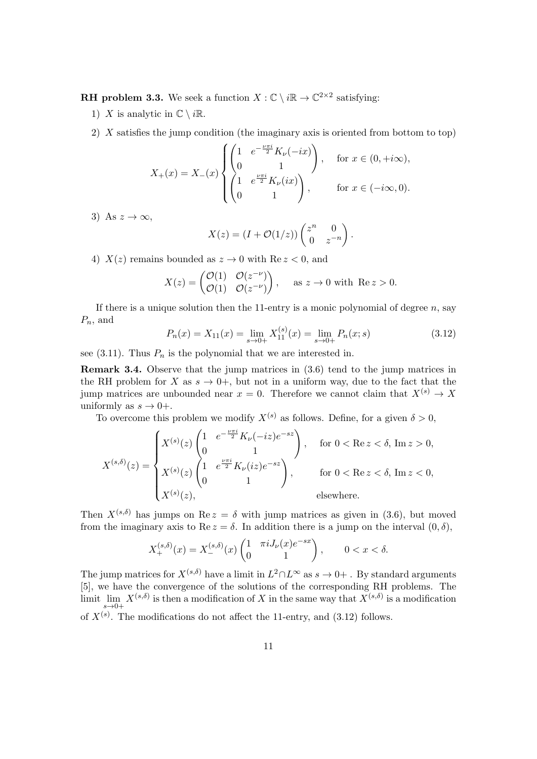**RH** problem 3.3. We seek a function  $X : \mathbb{C} \setminus i\mathbb{R} \to \mathbb{C}^{2 \times 2}$  satisfying:

- 1) X is analytic in  $\mathbb{C} \setminus i\mathbb{R}$ .
- 2) X satisfies the jump condition (the imaginary axis is oriented from bottom to top)

$$
X_{+}(x) = X_{-}(x) \begin{cases} \begin{pmatrix} 1 & e^{-\frac{\nu \pi i}{2}} K_{\nu}(-ix) \\ 0 & 1 \end{pmatrix}, & \text{for } x \in (0, +i\infty), \\ \begin{pmatrix} 1 & e^{\frac{\nu \pi i}{2}} K_{\nu}(ix) \\ 0 & 1 \end{pmatrix}, & \text{for } x \in (-i\infty, 0). \end{cases}
$$

3) As  $z \to \infty$ ,

$$
X(z) = (I + \mathcal{O}(1/z)) \begin{pmatrix} z^n & 0 \\ 0 & z^{-n} \end{pmatrix}.
$$

4)  $X(z)$  remains bounded as  $z \to 0$  with Re  $z < 0$ , and

$$
X(z) = \begin{pmatrix} \mathcal{O}(1) & \mathcal{O}(z^{-\nu}) \\ \mathcal{O}(1) & \mathcal{O}(z^{-\nu}) \end{pmatrix}, \quad \text{as } z \to 0 \text{ with } \text{Re } z > 0.
$$

If there is a unique solution then the 11-entry is a monic polynomial of degree  $n$ , say  $P_n$ , and

$$
P_n(x) = X_{11}(x) = \lim_{s \to 0+} X_{11}^{(s)}(x) = \lim_{s \to 0+} P_n(x; s)
$$
\n(3.12)

see (3.11). Thus  $P_n$  is the polynomial that we are interested in.

Remark 3.4. Observe that the jump matrices in (3.6) tend to the jump matrices in the RH problem for X as  $s \to 0^+$ , but not in a uniform way, due to the fact that the jump matrices are unbounded near  $x = 0$ . Therefore we cannot claim that  $X^{(s)} \to X$ uniformly as  $s \to 0+$ .

To overcome this problem we modify  $X^{(s)}$  as follows. Define, for a given  $\delta > 0$ ,

$$
X^{(s,\delta)}(z) = \begin{cases} X^{(s)}(z) \begin{pmatrix} 1 & e^{-\frac{\nu \pi i}{2}} K_{\nu}(-iz)e^{-sz} \\ 0 & 1 \end{pmatrix}, & \text{for } 0 < \text{Re } z < \delta, \text{ Im } z > 0, \\ X^{(s)}(z) \begin{pmatrix} 1 & e^{\frac{\nu \pi i}{2}} K_{\nu}(iz)e^{-sz} \\ 0 & 1 \end{pmatrix}, & \text{for } 0 < \text{Re } z < \delta, \text{ Im } z < 0, \\ X^{(s)}(z), & \text{elsewhere.} \end{cases}
$$

Then  $X^{(s,\delta)}$  has jumps on Re  $z = \delta$  with jump matrices as given in (3.6), but moved from the imaginary axis to Re  $z = \delta$ . In addition there is a jump on the interval  $(0, \delta)$ ,

$$
X_+^{(s,\delta)}(x) = X_-^{(s,\delta)}(x) \begin{pmatrix} 1 & \pi i J_\nu(x) e^{-sx} \\ 0 & 1 \end{pmatrix}, \qquad 0 < x < \delta.
$$

The jump matrices for  $X^{(s,\delta)}$  have a limit in  $L^2 \cap L^\infty$  as  $s \to 0+$ . By standard arguments [5], we have the convergence of the solutions of the corresponding RH problems. The limit lim  $X^{(s,\delta)}$  is then a modification of X in the same way that  $X^{(s,\delta)}$  is a modification  $s\rightarrow 0+$ of  $X^{(s)}$ . The modifications do not affect the 11-entry, and (3.12) follows.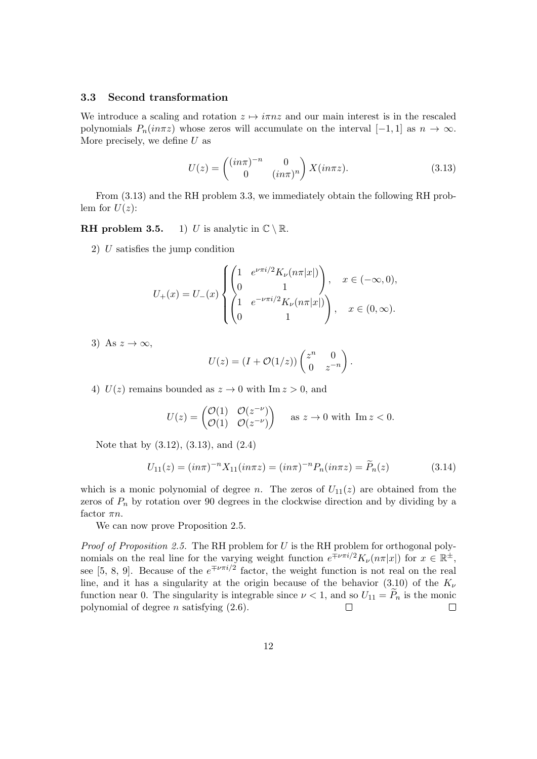#### 3.3 Second transformation

We introduce a scaling and rotation  $z \mapsto i\pi nz$  and our main interest is in the rescaled polynomials  $P_n(in\pi z)$  whose zeros will accumulate on the interval  $[-1,1]$  as  $n \to \infty$ . More precisely, we define  $U$  as

$$
U(z) = \begin{pmatrix} (in\pi)^{-n} & 0\\ 0 & (in\pi)^n \end{pmatrix} X(in\pi z). \tag{3.13}
$$

From (3.13) and the RH problem 3.3, we immediately obtain the following RH problem for  $U(z)$ :

**RH** problem 3.5. 1) U is analytic in  $\mathbb{C} \setminus \mathbb{R}$ .

2) U satisfies the jump condition

$$
U_{+}(x) = U_{-}(x) \begin{cases} \begin{pmatrix} 1 & e^{\nu \pi i/2} K_{\nu}(n\pi |x|) \\ 0 & 1 \end{pmatrix}, & x \in (-\infty, 0), \\ \begin{pmatrix} 1 & e^{-\nu \pi i/2} K_{\nu}(n\pi |x|) \\ 0 & 1 \end{pmatrix}, & x \in (0, \infty). \end{cases}
$$

3) As  $z \to \infty$ ,

$$
U(z) = (I + \mathcal{O}(1/z)) \begin{pmatrix} z^n & 0 \\ 0 & z^{-n} \end{pmatrix}.
$$

4)  $U(z)$  remains bounded as  $z \to 0$  with Im  $z > 0$ , and

$$
U(z) = \begin{pmatrix} \mathcal{O}(1) & \mathcal{O}(z^{-\nu}) \\ \mathcal{O}(1) & \mathcal{O}(z^{-\nu}) \end{pmatrix} \quad \text{as } z \to 0 \text{ with } \text{Im } z < 0.
$$

Note that by (3.12), (3.13), and (2.4)

$$
U_{11}(z) = (in\pi)^{-n} X_{11}(in\pi z) = (in\pi)^{-n} P_n(in\pi z) = \widetilde{P}_n(z)
$$
\n(3.14)

which is a monic polynomial of degree n. The zeros of  $U_{11}(z)$  are obtained from the zeros of  $P_n$  by rotation over 90 degrees in the clockwise direction and by dividing by a factor  $\pi n$ .

We can now prove Proposition 2.5.

*Proof of Proposition 2.5.* The RH problem for  $U$  is the RH problem for orthogonal polynomials on the real line for the varying weight function  $e^{\mp \nu \pi i/2} K_{\nu}(n\pi |x|)$  for  $x \in \mathbb{R}^{\pm}$ , see [5, 8, 9]. Because of the  $e^{\mp \nu \pi i/2}$  factor, the weight function is not real on the real line, and it has a singularity at the origin because of the behavior (3.10) of the  $K_{\nu}$ function near 0. The singularity is integrable since  $\nu < 1$ , and so  $U_{11} = \overline{P}_n$  is the monic polynomial of degree *n* satisfying (2.6). polynomial of degree  $n$  satisfying  $(2.6)$ .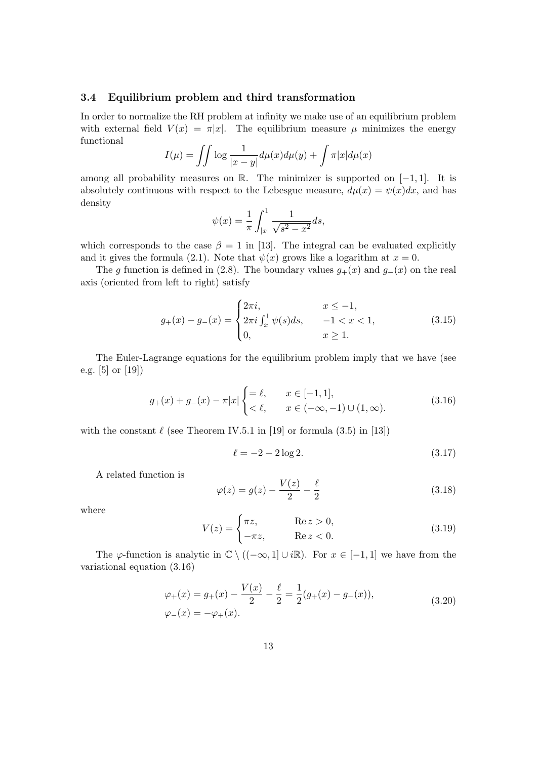#### 3.4 Equilibrium problem and third transformation

In order to normalize the RH problem at infinity we make use of an equilibrium problem with external field  $V(x) = \pi |x|$ . The equilibrium measure  $\mu$  minimizes the energy functional

$$
I(\mu) = \iint \log \frac{1}{|x-y|} d\mu(x) d\mu(y) + \int \pi |x| d\mu(x)
$$

among all probability measures on R. The minimizer is supported on  $[-1, 1]$ . It is absolutely continuous with respect to the Lebesgue measure,  $d\mu(x) = \psi(x)dx$ , and has density

$$
\psi(x) = \frac{1}{\pi} \int_{|x|}^{1} \frac{1}{\sqrt{s^2 - x^2}} ds,
$$

which corresponds to the case  $\beta = 1$  in [13]. The integral can be evaluated explicitly and it gives the formula (2.1). Note that  $\psi(x)$  grows like a logarithm at  $x = 0$ .

The g function is defined in (2.8). The boundary values  $g_{+}(x)$  and  $g_{-}(x)$  on the real axis (oriented from left to right) satisfy

$$
g_{+}(x) - g_{-}(x) = \begin{cases} 2\pi i, & x \le -1, \\ 2\pi i \int_{x}^{1} \psi(s)ds, & -1 < x < 1, \\ 0, & x \ge 1. \end{cases}
$$
(3.15)

The Euler-Lagrange equations for the equilibrium problem imply that we have (see e.g. [5] or [19])

$$
g_{+}(x) + g_{-}(x) - \pi |x| \begin{cases} = \ell, & x \in [-1, 1], \\ < \ell, & x \in (-\infty, -1) \cup (1, \infty). \end{cases}
$$
(3.16)

with the constant  $\ell$  (see Theorem IV.5.1 in [19] or formula (3.5) in [13])

$$
\ell = -2 - 2\log 2. \tag{3.17}
$$

A related function is

$$
\varphi(z) = g(z) - \frac{V(z)}{2} - \frac{\ell}{2}
$$
\n(3.18)

where

$$
V(z) = \begin{cases} \pi z, & \text{Re } z > 0, \\ -\pi z, & \text{Re } z < 0. \end{cases}
$$
 (3.19)

The  $\varphi$ -function is analytic in  $\mathbb{C} \setminus ((-\infty, 1] \cup i\mathbb{R})$ . For  $x \in [-1, 1]$  we have from the variational equation (3.16)

$$
\varphi_{+}(x) = g_{+}(x) - \frac{V(x)}{2} - \frac{\ell}{2} = \frac{1}{2}(g_{+}(x) - g_{-}(x)),
$$
  
\n
$$
\varphi_{-}(x) = -\varphi_{+}(x).
$$
\n(3.20)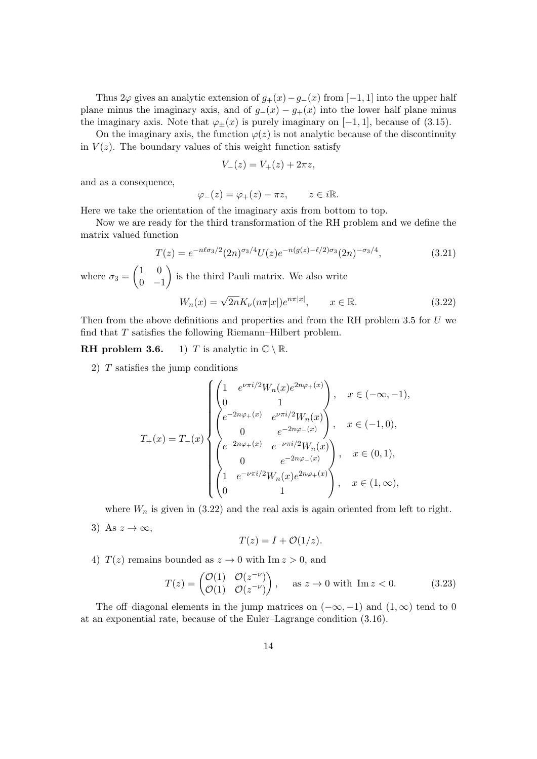Thus  $2\varphi$  gives an analytic extension of  $g_{+}(x)-g_{-}(x)$  from [−1, 1] into the upper half plane minus the imaginary axis, and of  $g_-(x) - g_+(x)$  into the lower half plane minus the imaginary axis. Note that  $\varphi_{\pm}(x)$  is purely imaginary on [−1, 1], because of (3.15).

On the imaginary axis, the function  $\varphi(z)$  is not analytic because of the discontinuity in  $V(z)$ . The boundary values of this weight function satisfy

$$
V_{-}(z) = V_{+}(z) + 2\pi z,
$$

and as a consequence,

 $\varphi_-(z) = \varphi_+(z) - \pi z, \qquad z \in i\mathbb{R}.$ 

Here we take the orientation of the imaginary axis from bottom to top.

Now we are ready for the third transformation of the RH problem and we define the matrix valued function

$$
T(z) = e^{-n\ell\sigma_3/2} (2n)^{\sigma_3/4} U(z) e^{-n(g(z) - \ell/2)\sigma_3} (2n)^{-\sigma_3/4}, \tag{3.21}
$$

where  $\sigma_3 =$  $(1 \ 0)$  $0 -1$  $\setminus$ is the third Pauli matrix. We also write  $W_n(x) = \sqrt{2n} K_\nu(n\pi|x|) e^{n\pi|x|}, \qquad x \in \mathbb{R}.$  (3.22)

Then from the above definitions and properties and from the RH problem 3.5 for  $U$  we find that  $T$  satisfies the following Riemann–Hilbert problem.

**RH** problem 3.6. 1) T is analytic in  $\mathbb{C} \setminus \mathbb{R}$ .

2) T satisfies the jump conditions

$$
T_{+}(x) = T_{-}(x) \begin{cases} \begin{pmatrix} 1 & e^{\nu \pi i/2} W_{n}(x) e^{2n\varphi_{+}(x)} \\ 0 & 1 \end{pmatrix}, & x \in (-\infty, -1), \\ \begin{pmatrix} e^{-2n\varphi_{+}(x)} & e^{\nu \pi i/2} W_{n}(x) \\ 0 & e^{-2n\varphi_{-}(x)} \end{pmatrix}, & x \in (-1, 0), \\ \begin{pmatrix} e^{-2n\varphi_{+}(x)} & e^{-\nu \pi i/2} W_{n}(x) \\ 0 & e^{-2n\varphi_{-}(x)} \end{pmatrix}, & x \in (0, 1), \\ \begin{pmatrix} 1 & e^{-\nu \pi i/2} W_{n}(x) e^{2n\varphi_{+}(x)} \\ 0 & 1 \end{pmatrix}, & x \in (1, \infty), \end{cases}
$$

where  $W_n$  is given in (3.22) and the real axis is again oriented from left to right.

3) As  $z \to \infty$ ,

$$
T(z) = I + \mathcal{O}(1/z).
$$

4)  $T(z)$  remains bounded as  $z \to 0$  with Im  $z > 0$ , and

$$
T(z) = \begin{pmatrix} \mathcal{O}(1) & \mathcal{O}(z^{-\nu}) \\ \mathcal{O}(1) & \mathcal{O}(z^{-\nu}) \end{pmatrix}, \quad \text{as } z \to 0 \text{ with } \text{Im } z < 0.
$$
 (3.23)

The off–diagonal elements in the jump matrices on  $(-\infty, -1)$  and  $(1, \infty)$  tend to 0 at an exponential rate, because of the Euler–Lagrange condition (3.16).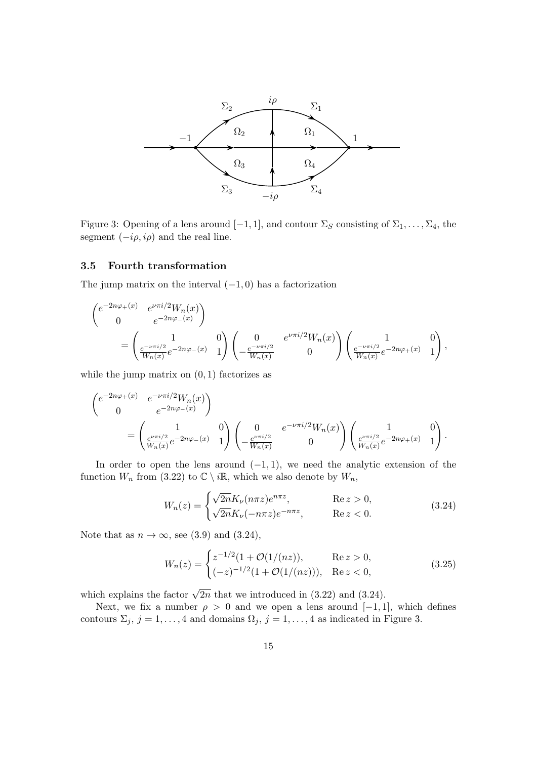

Figure 3: Opening of a lens around  $[-1, 1]$ , and contour  $\Sigma_S$  consisting of  $\Sigma_1, \ldots, \Sigma_4$ , the segment  $(-i\rho, i\rho)$  and the real line.

#### 3.5 Fourth transformation

The jump matrix on the interval  $(-1, 0)$  has a factorization

$$
\begin{aligned}\n\begin{pmatrix}\ne^{-2n\varphi_{+}(x)} & e^{\nu\pi i/2}W_{n}(x) \\
0 & e^{-2n\varphi_{-}(x)}\n\end{pmatrix} \\
&= \begin{pmatrix} 1 & 0 \\
\frac{e^{-\nu\pi i/2}}{W_{n}(x)}e^{-2n\varphi_{-}(x)} & 1\n\end{pmatrix} \begin{pmatrix} 0 & e^{\nu\pi i/2}W_{n}(x) \\
-\frac{e^{-\nu\pi i/2}}{W_{n}(x)} & 0\n\end{pmatrix} \begin{pmatrix} 1 & 0 \\
\frac{e^{-\nu\pi i/2}}{W_{n}(x)}e^{-2n\varphi_{+}(x)} & 1\n\end{pmatrix},\n\end{aligned}
$$

while the jump matrix on  $(0, 1)$  factorizes as

$$
\begin{aligned} &\begin{pmatrix}e^{-2n\varphi_+(x)}&e^{-\nu\pi i/2}W_n(x)\\&0&e^{-2n\varphi_-(x)}\end{pmatrix}\\ &=\begin{pmatrix}1&0\\ \frac{e^{\nu\pi i/2}}{W_n(x)}e^{-2n\varphi_-(x)}&1\end{pmatrix}\begin{pmatrix}0&e^{-\nu\pi i/2}W_n(x)\\&0\end{pmatrix}\begin{pmatrix}1&0\\ \frac{e^{\nu\pi i/2}}{W_n(x)}e^{-2n\varphi_+(x)}&1\end{pmatrix}. \end{aligned}
$$

In order to open the lens around  $(-1, 1)$ , we need the analytic extension of the function  $W_n$  from (3.22) to  $\mathbb{C} \setminus i\mathbb{R}$ , which we also denote by  $W_n$ ,

$$
W_n(z) = \begin{cases} \sqrt{2n} K_\nu(n\pi z) e^{n\pi z}, & \text{Re } z > 0, \\ \sqrt{2n} K_\nu(-n\pi z) e^{-n\pi z}, & \text{Re } z < 0. \end{cases}
$$
(3.24)

Note that as  $n \to \infty$ , see (3.9) and (3.24),

$$
W_n(z) = \begin{cases} z^{-1/2} (1 + \mathcal{O}(1/(nz)), & \text{Re } z > 0, \\ (-z)^{-1/2} (1 + \mathcal{O}(1/(nz))), & \text{Re } z < 0, \end{cases}
$$
(3.25)

which explains the factor  $\sqrt{2n}$  that we introduced in (3.22) and (3.24).

Next, we fix a number  $\rho > 0$  and we open a lens around [-1, 1], which defines contours  $\Sigma_j$ ,  $j = 1, ..., 4$  and domains  $\Omega_j$ ,  $j = 1, ..., 4$  as indicated in Figure 3.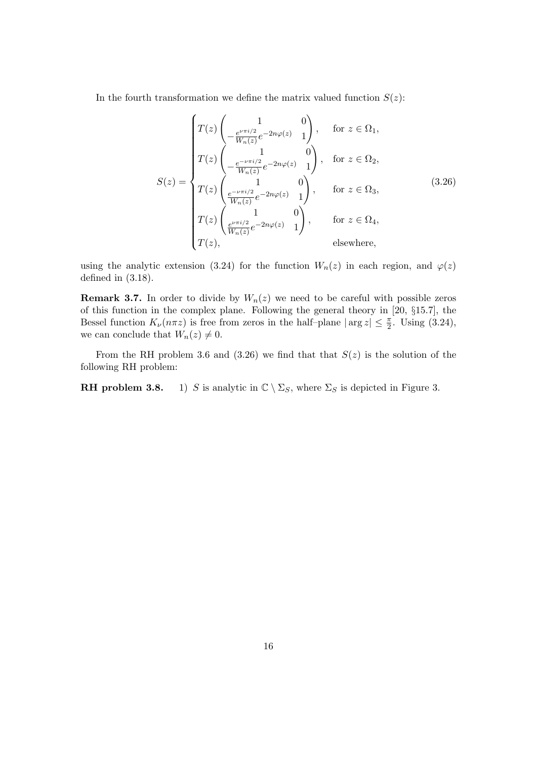In the fourth transformation we define the matrix valued function  $S(z)$ :

$$
S(z) = \begin{cases} T(z) \begin{pmatrix} 1 & 0 \\ -\frac{e^{\nu \pi i/2}}{W_n(z)} e^{-2n\varphi(z)} & 1 \end{pmatrix}, & \text{for } z \in \Omega_1, \\ T(z) \begin{pmatrix} 1 & 0 \\ -\frac{e^{-\nu \pi i/2}}{W_n(z)} e^{-2n\varphi(z)} & 1 \end{pmatrix}, & \text{for } z \in \Omega_2, \\ T(z) \begin{pmatrix} 1 & 0 \\ \frac{e^{-\nu \pi i/2}}{W_n(z)} e^{-2n\varphi(z)} & 1 \end{pmatrix}, & \text{for } z \in \Omega_3, \\ T(z) \begin{pmatrix} 1 & 0 \\ \frac{e^{\nu \pi i/2}}{W_n(z)} e^{-2n\varphi(z)} & 1 \end{pmatrix}, & \text{for } z \in \Omega_4, \\ T(z), & \text{elsewhere,} \end{cases}
$$
(3.26)

using the analytic extension (3.24) for the function  $W_n(z)$  in each region, and  $\varphi(z)$ defined in (3.18).

**Remark 3.7.** In order to divide by  $W_n(z)$  we need to be careful with possible zeros of this function in the complex plane. Following the general theory in [20, §15.7], the Bessel function  $K_{\nu}(n\pi z)$  is free from zeros in the half-plane  $|\arg z| \leq \frac{\pi}{2}$ . Using (3.24), we can conclude that  $W_n(z) \neq 0$ .

From the RH problem 3.6 and (3.26) we find that that  $S(z)$  is the solution of the following RH problem:

**RH problem 3.8.** 1) S is analytic in  $\mathbb{C} \setminus \Sigma_S$ , where  $\Sigma_S$  is depicted in Figure 3.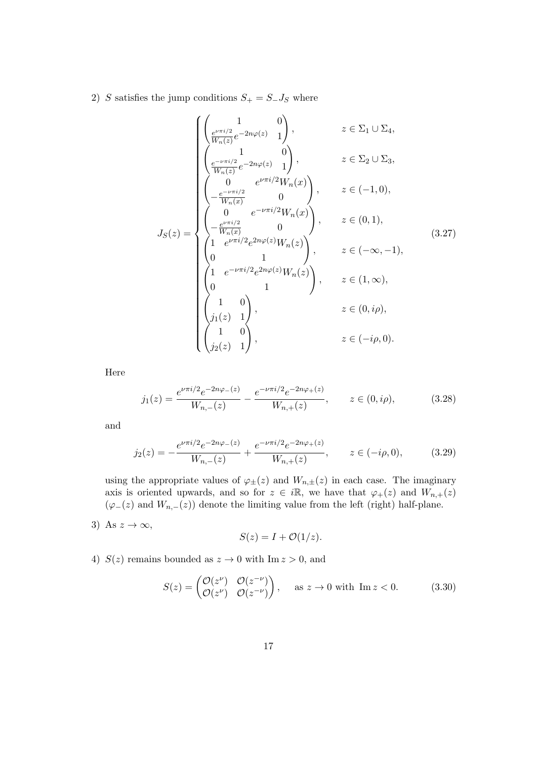2) S satisfies the jump conditions  $S_+ = S_- J_S$  where

$$
J_S(z) = \begin{cases} \begin{pmatrix} 1 & 0 \\ \frac{e^{\nu \pi i/2}}{W_n(z)} e^{-2n\varphi(z)} & 1 \end{pmatrix}, & z \in \Sigma_1 \cup \Sigma_4, \\ \begin{pmatrix} 1 & 0 \\ \frac{e^{-\nu \pi i/2}}{W_n(z)} e^{-2n\varphi(z)} & 1 \end{pmatrix}, & z \in \Sigma_2 \cup \Sigma_3, \\ \begin{pmatrix} 0 & e^{\nu \pi i/2} W_n(x) \\ -\frac{e^{\nu \pi i/2}}{W_n(x)} & 0 \end{pmatrix}, & z \in (-1, 0), \\ \begin{pmatrix} 0 & e^{-\nu \pi i/2} W_n(x) \\ -\frac{e^{\nu \pi i/2}}{W_n(x)} & 0 \end{pmatrix}, & z \in (0, 1), \\ \begin{pmatrix} 1 & e^{\nu \pi i/2} e^{2n\varphi(z)} W_n(z) \\ 0 & 1 \end{pmatrix}, & z \in (-\infty, -1), \\ \begin{pmatrix} 1 & e^{-\nu \pi i/2} e^{2n\varphi(z)} W_n(z) \\ 0 & 1 \end{pmatrix}, & z \in (1, \infty), \\ \begin{pmatrix} 1 & 0 \\ j_1(z) & 1 \end{pmatrix}, & z \in (-i\rho, 0). \end{cases}
$$
(3.27)

Here

$$
j_1(z) = \frac{e^{\nu \pi i/2} e^{-2n\varphi_-(z)}}{W_{n,-}(z)} - \frac{e^{-\nu \pi i/2} e^{-2n\varphi_+(z)}}{W_{n,+}(z)}, \qquad z \in (0, i\rho), \tag{3.28}
$$

and

$$
j_2(z) = -\frac{e^{\nu \pi i/2} e^{-2n\varphi_-(z)}}{W_{n,-}(z)} + \frac{e^{-\nu \pi i/2} e^{-2n\varphi_+(z)}}{W_{n,+}(z)}, \qquad z \in (-i\rho, 0), \tag{3.29}
$$

using the appropriate values of  $\varphi_{\pm}(z)$  and  $W_{n,\pm}(z)$  in each case. The imaginary axis is oriented upwards, and so for  $z \in i\mathbb{R}$ , we have that  $\varphi_+(z)$  and  $W_{n,+}(z)$  $(\varphi_-(z)$  and  $W_{n,-}(z)$  denote the limiting value from the left (right) half-plane.

3) As  $z \to \infty$ ,

$$
S(z) = I + \mathcal{O}(1/z).
$$

4)  $S(z)$  remains bounded as  $z \to 0$  with Im  $z > 0$ , and

$$
S(z) = \begin{pmatrix} \mathcal{O}(z^{\nu}) & \mathcal{O}(z^{-\nu}) \\ \mathcal{O}(z^{\nu}) & \mathcal{O}(z^{-\nu}) \end{pmatrix}, \quad \text{as } z \to 0 \text{ with } \text{Im } z < 0.
$$
 (3.30)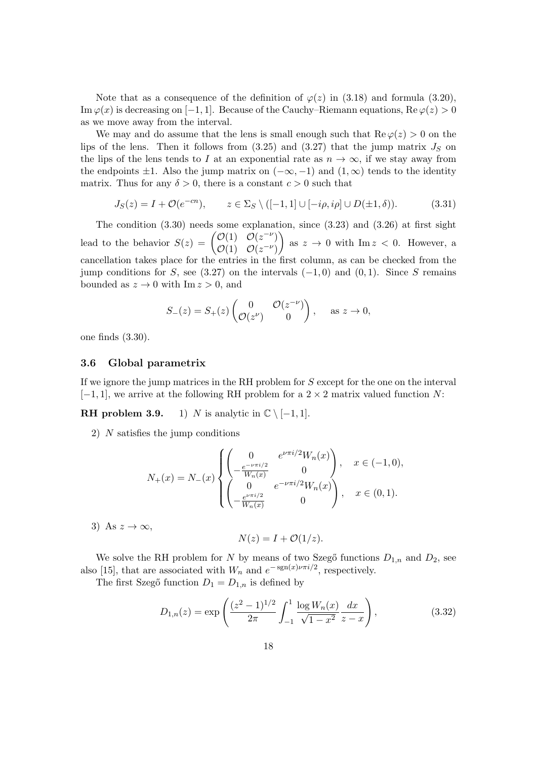Note that as a consequence of the definition of  $\varphi(z)$  in (3.18) and formula (3.20), Im  $\varphi(x)$  is decreasing on [−1, 1]. Because of the Cauchy–Riemann equations, Re  $\varphi(z) > 0$ as we move away from the interval.

We may and do assume that the lens is small enough such that  $\text{Re } \varphi(z) > 0$  on the lips of the lens. Then it follows from  $(3.25)$  and  $(3.27)$  that the jump matrix  $J<sub>S</sub>$  on the lips of the lens tends to I at an exponential rate as  $n \to \infty$ , if we stay away from the endpoints  $\pm 1$ . Also the jump matrix on  $(-\infty, -1)$  and  $(1, \infty)$  tends to the identity matrix. Thus for any  $\delta > 0$ , there is a constant  $c > 0$  such that

$$
J_S(z) = I + \mathcal{O}(e^{-cn}), \qquad z \in \Sigma_S \setminus ([-1,1] \cup [-i\rho, i\rho] \cup D(\pm 1, \delta)). \tag{3.31}
$$

The condition  $(3.30)$  needs some explanation, since  $(3.23)$  and  $(3.26)$  at first sight lead to the behavior  $S(z) = \begin{pmatrix} O(1) & O(z^{-\nu}) \\ O(1) & O(z^{-\nu}) \end{pmatrix}$  $\mathcal{O}(1) \quad \mathcal{O}(z^{-\nu})$  $\setminus$ as  $z \to 0$  with  $\text{Im } z < 0$ . However, a cancellation takes place for the entries in the first column, as can be checked from the jump conditions for S, see (3.27) on the intervals  $(-1, 0)$  and  $(0, 1)$ . Since S remains bounded as  $z \to 0$  with Im  $z > 0$ , and

$$
S_{-}(z) = S_{+}(z) \begin{pmatrix} 0 & \mathcal{O}(z^{-\nu}) \\ \mathcal{O}(z^{\nu}) & 0 \end{pmatrix}, \quad \text{as } z \to 0,
$$

one finds (3.30).

#### 3.6 Global parametrix

If we ignore the jump matrices in the RH problem for S except for the one on the interval  $[-1, 1]$ , we arrive at the following RH problem for a 2 × 2 matrix valued function N:

**RH** problem 3.9. 1) N is analytic in  $\mathbb{C} \setminus [-1, 1]$ .

2) N satisfies the jump conditions

$$
N_{+}(x) = N_{-}(x) \begin{cases} \begin{pmatrix} 0 & e^{\nu \pi i/2} W_{n}(x) \\ -\frac{e^{-\nu \pi i/2}}{W_{n}(x)} & 0 \end{pmatrix}, & x \in (-1,0), \\ \begin{pmatrix} 0 & e^{-\nu \pi i/2} W_{n}(x) \\ -\frac{e^{\nu \pi i/2}}{W_{n}(x)} & 0 \end{pmatrix}, & x \in (0,1). \end{cases}
$$

3) As  $z \to \infty$ ,

$$
N(z) = I + \mathcal{O}(1/z).
$$

We solve the RH problem for N by means of two Szegő functions  $D_{1,n}$  and  $D_2$ , see also [15], that are associated with  $W_n$  and  $e^{-\text{sgn}(x)\nu\pi i/2}$ , respectively.

The first Szegő function  $D_1 = D_{1,n}$  is defined by

$$
D_{1,n}(z) = \exp\left(\frac{(z^2 - 1)^{1/2}}{2\pi} \int_{-1}^1 \frac{\log W_n(x)}{\sqrt{1 - x^2}} \frac{dx}{z - x}\right),\tag{3.32}
$$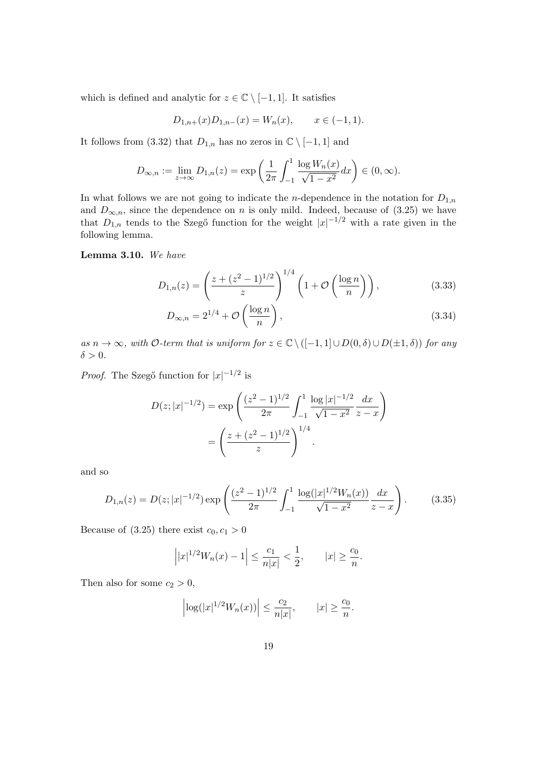which is defined and analytic for  $z \in \mathbb{C} \setminus [-1,1]$ . It satisfies

$$
D_{1,n+}(x)D_{1,n-}(x) = W_n(x), \qquad x \in (-1,1).
$$

It follows from (3.32) that  $D_{1,n}$  has no zeros in  $\mathbb{C} \setminus [-1,1]$  and

$$
D_{\infty,n} := \lim_{z \to \infty} D_{1,n}(z) = \exp\left(\frac{1}{2\pi} \int_{-1}^1 \frac{\log W_n(x)}{\sqrt{1 - x^2}} dx\right) \in (0, \infty).
$$

In what follows we are not going to indicate the *n*-dependence in the notation for  $D_{1,n}$ and  $D_{\infty,n}$ , since the dependence on n is only mild. Indeed, because of (3.25) we have that  $D_{1,n}$  tends to the Szegő function for the weight  $|x|^{-1/2}$  with a rate given in the following lemma.

#### Lemma 3.10. We have

$$
D_{1,n}(z) = \left(\frac{z + (z^2 - 1)^{1/2}}{z}\right)^{1/4} \left(1 + \mathcal{O}\left(\frac{\log n}{n}\right)\right),\tag{3.33}
$$

$$
D_{\infty,n} = 2^{1/4} + \mathcal{O}\left(\frac{\log n}{n}\right),\tag{3.34}
$$

as  $n \to \infty$ , with O-term that is uniform for  $z \in \mathbb{C} \setminus ([-1,1] \cup D(0,\delta) \cup D(\pm 1,\delta))$  for any  $\delta > 0$ .

*Proof.* The Szegő function for  $|x|^{-1/2}$  is

$$
D(z; |x|^{-1/2}) = \exp\left(\frac{(z^2 - 1)^{1/2}}{2\pi} \int_{-1}^1 \frac{\log |x|^{-1/2}}{\sqrt{1 - x^2}} \frac{dx}{z - x}\right)
$$

$$
= \left(\frac{z + (z^2 - 1)^{1/2}}{z}\right)^{1/4}.
$$

and so

$$
D_{1,n}(z) = D(z; |x|^{-1/2}) \exp\left(\frac{(z^2 - 1)^{1/2}}{2\pi} \int_{-1}^1 \frac{\log(|x|^{1/2} W_n(x))}{\sqrt{1 - x^2}} \frac{dx}{z - x}\right).
$$
(3.35)

Because of  $(3.25)$  there exist  $c_0, c_1 > 0$ 

$$
\left| |x|^{1/2}W_n(x) - 1 \right| \le \frac{c_1}{n|x|} < \frac{1}{2}, \qquad |x| \ge \frac{c_0}{n}.
$$

Then also for some  $c_2 > 0$ ,

$$
\left|\log(|x|^{1/2}W_n(x))\right|\leq \frac{c_2}{n|x|},\qquad |x|\geq \frac{c_0}{n}.
$$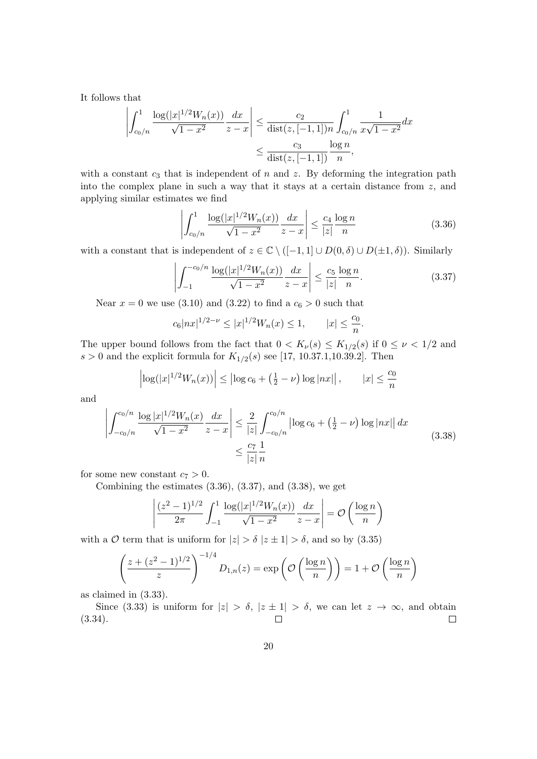It follows that

$$
\left| \int_{c_0/n}^1 \frac{\log(|x|^{1/2} W_n(x))}{\sqrt{1-x^2}} \frac{dx}{z-x} \right| \le \frac{c_2}{\text{dist}(z, [-1,1])n} \int_{c_0/n}^1 \frac{1}{x\sqrt{1-x^2}} dx
$$
  

$$
\le \frac{c_3}{\text{dist}(z, [-1,1])} \frac{\log n}{n},
$$

with a constant  $c_3$  that is independent of  $n$  and  $z$ . By deforming the integration path into the complex plane in such a way that it stays at a certain distance from z, and applying similar estimates we find

$$
\left| \int_{c_0/n}^{1} \frac{\log(|x|^{1/2} W_n(x))}{\sqrt{1 - x^2}} \frac{dx}{z - x} \right| \le \frac{c_4}{|z|} \frac{\log n}{n}
$$
(3.36)

with a constant that is independent of  $z \in \mathbb{C} \setminus ([-1,1] \cup D(0,\delta) \cup D(\pm 1,\delta))$ . Similarly

$$
\left| \int_{-1}^{-c_0/n} \frac{\log(|x|^{1/2} W_n(x))}{\sqrt{1-x^2}} \frac{dx}{z-x} \right| \le \frac{c_5}{|z|} \frac{\log n}{n}.
$$
 (3.37)

Near  $x = 0$  we use (3.10) and (3.22) to find a  $c_6 > 0$  such that

$$
c_6|nx|^{1/2-\nu} \le |x|^{1/2}W_n(x) \le 1, \qquad |x| \le \frac{c_0}{n}.
$$

The upper bound follows from the fact that  $0 < K_{\nu}(s) \leq K_{1/2}(s)$  if  $0 \leq \nu < 1/2$  and  $s > 0$  and the explicit formula for  $K_{1/2}(s)$  see [17, 10.37.1,10.39.2]. Then

$$
\left| \log(|x|^{1/2} W_n(x)) \right| \le \left| \log c_6 + \left(\frac{1}{2} - \nu\right) \log |nx| \right|, \qquad |x| \le \frac{c_0}{n}
$$

and

$$
\left| \int_{-c_0/n}^{c_0/n} \frac{\log |x|^{1/2} W_n(x)}{\sqrt{1 - x^2}} \frac{dx}{z - x} \right| \le \frac{2}{|z|} \int_{-c_0/n}^{c_0/n} \left| \log c_6 + \left(\frac{1}{2} - \nu\right) \log |nx| \right| dx
$$
\n
$$
\le \frac{c_7}{|z|} \frac{1}{n}
$$
\n(3.38)

for some new constant  $c_7 > 0$ .

Combining the estimates  $(3.36)$ ,  $(3.37)$ , and  $(3.38)$ , we get

$$
\left| \frac{(z^2 - 1)^{1/2}}{2\pi} \int_{-1}^1 \frac{\log(|x|^{1/2} W_n(x))}{\sqrt{1 - x^2}} \frac{dx}{z - x} \right| = \mathcal{O}\left(\frac{\log n}{n}\right)
$$

with a  $\mathcal O$  term that is uniform for  $|z| > \delta |z \pm 1| > \delta$ , and so by (3.35)

$$
\left(\frac{z + (z^2 - 1)^{1/2}}{z}\right)^{-1/4} D_{1,n}(z) = \exp\left(\mathcal{O}\left(\frac{\log n}{n}\right)\right) = 1 + \mathcal{O}\left(\frac{\log n}{n}\right)
$$

as claimed in (3.33).

Since (3.33) is uniform for  $|z| > \delta$ ,  $|z \pm 1| > \delta$ , we can let  $z \to \infty$ , and obtain  $\Box$ (3.34).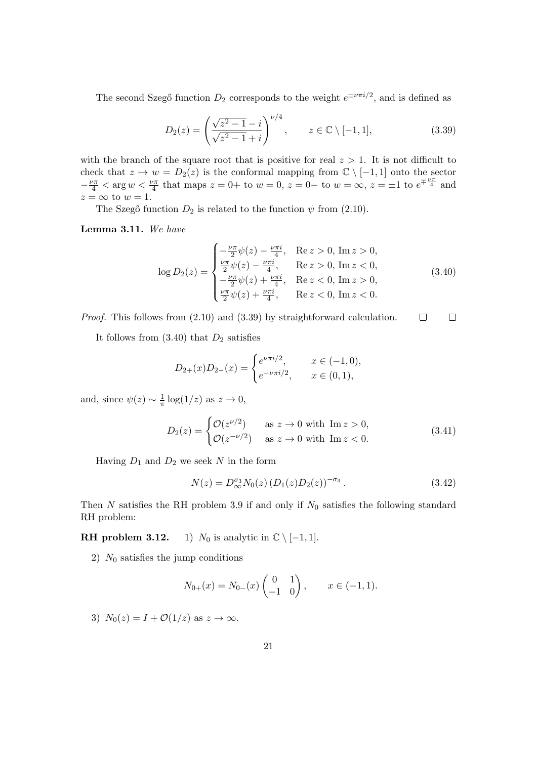The second Szegő function  $D_2$  corresponds to the weight  $e^{\pm \nu \pi i/2}$ , and is defined as

$$
D_2(z) = \left(\frac{\sqrt{z^2 - 1} - i}{\sqrt{z^2 - 1} + i}\right)^{\nu/4}, \qquad z \in \mathbb{C} \setminus [-1, 1], \tag{3.39}
$$

with the branch of the square root that is positive for real  $z > 1$ . It is not difficult to check that  $z \mapsto w = D_2(z)$  is the conformal mapping from  $\mathbb{C} \setminus [-1,1]$  onto the sector  $-\frac{\nu\pi}{4} < \arg w < \frac{\nu\pi}{4}$  that maps  $z = 0+$  to  $w = 0$ ,  $z = 0-$  to  $w = \infty$ ,  $z = \pm 1$  to  $e^{\mp \frac{\nu\pi}{4}}$  and  $z = \infty$  to  $w = 1$ .

The Szegő function  $D_2$  is related to the function  $\psi$  from (2.10).

Lemma 3.11. We have

$$
\log D_2(z) = \begin{cases}\n-\frac{\nu \pi}{2} \psi(z) - \frac{\nu \pi i}{4}, & \text{Re } z > 0, \text{ Im } z > 0, \\
\frac{\nu \pi}{2} \psi(z) - \frac{\nu \pi i}{4}, & \text{Re } z > 0, \text{ Im } z < 0, \\
-\frac{\nu \pi}{2} \psi(z) + \frac{\nu \pi i}{4}, & \text{Re } z < 0, \text{ Im } z > 0, \\
\frac{\nu \pi}{2} \psi(z) + \frac{\nu \pi i}{4}, & \text{Re } z < 0, \text{ Im } z < 0.\n\end{cases}
$$
\n(3.40)

Proof. This follows from (2.10) and (3.39) by straightforward calculation.  $\Box$  $\Box$ 

It follows from  $(3.40)$  that  $D_2$  satisfies

$$
D_{2+}(x)D_{2-}(x) = \begin{cases} e^{\nu \pi i/2}, & x \in (-1,0), \\ e^{-\nu \pi i/2}, & x \in (0,1), \end{cases}
$$

and, since  $\psi(z) \sim \frac{1}{\pi}$  $\frac{1}{\pi} \log(1/z)$  as  $z \to 0$ ,

$$
D_2(z) = \begin{cases} \mathcal{O}(z^{\nu/2}) & \text{as } z \to 0 \text{ with } \text{Im } z > 0, \\ \mathcal{O}(z^{-\nu/2}) & \text{as } z \to 0 \text{ with } \text{Im } z < 0. \end{cases} \tag{3.41}
$$

Having  $D_1$  and  $D_2$  we seek N in the form

$$
N(z) = D_{\infty}^{\sigma_3} N_0(z) (D_1(z) D_2(z))^{-\sigma_3}.
$$
\n(3.42)

Then  $N$  satisfies the RH problem 3.9 if and only if  $N_0$  satisfies the following standard RH problem:

**RH problem 3.12.** 1)  $N_0$  is analytic in  $\mathbb{C} \setminus [-1, 1]$ .

2)  $N_0$  satisfies the jump conditions

$$
N_{0+}(x) = N_{0-}(x) \begin{pmatrix} 0 & 1 \\ -1 & 0 \end{pmatrix}, \qquad x \in (-1, 1).
$$

3)  $N_0(z) = I + \mathcal{O}(1/z)$  as  $z \to \infty$ .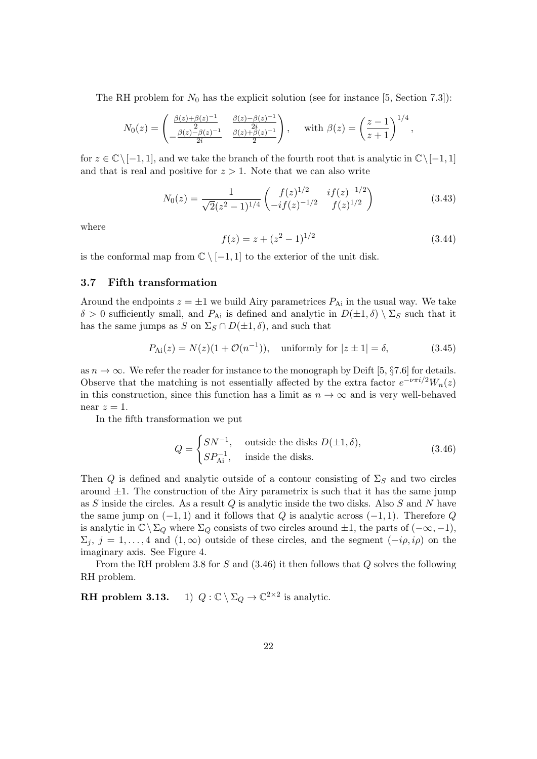The RH problem for  $N_0$  has the explicit solution (see for instance [5, Section 7.3]):

$$
N_0(z) = \begin{pmatrix} \frac{\beta(z) + \beta(z)^{-1}}{2} & \frac{\beta(z) - \beta(z)^{-1}}{2i} \\ -\frac{\beta(z) - \beta(z)^{-1}}{2i} & \frac{\beta(z) + \beta(z)^{-1}}{2} \end{pmatrix}, \text{ with } \beta(z) = \left(\frac{z - 1}{z + 1}\right)^{1/4},
$$

for  $z \in \mathbb{C} \setminus [-1, 1]$ , and we take the branch of the fourth root that is analytic in  $\mathbb{C} \setminus [-1, 1]$ and that is real and positive for  $z > 1$ . Note that we can also write

$$
N_0(z) = \frac{1}{\sqrt{2}(z^2 - 1)^{1/4}} \begin{pmatrix} f(z)^{1/2} & if(z)^{-1/2} \\ -if(z)^{-1/2} & f(z)^{1/2} \end{pmatrix}
$$
(3.43)

where

$$
f(z) = z + (z^2 - 1)^{1/2} \tag{3.44}
$$

is the conformal map from  $\mathbb{C} \setminus [-1,1]$  to the exterior of the unit disk.

#### 3.7 Fifth transformation

Around the endpoints  $z = \pm 1$  we build Airy parametrices  $P_{\rm Ai}$  in the usual way. We take  $\delta > 0$  sufficiently small, and  $P_{\rm Ai}$  is defined and analytic in  $D(\pm 1, \delta) \setminus \Sigma_S$  such that it has the same jumps as S on  $\Sigma_S \cap D(\pm 1, \delta)$ , and such that

$$
P_{\text{Ai}}(z) = N(z)(1 + \mathcal{O}(n^{-1})), \text{ uniformly for } |z \pm 1| = \delta,
$$
 (3.45)

as  $n \to \infty$ . We refer the reader for instance to the monograph by Deift [5, §7.6] for details. Observe that the matching is not essentially affected by the extra factor  $e^{-\nu \pi i/2}W_n(z)$ in this construction, since this function has a limit as  $n \to \infty$  and is very well-behaved near  $z=1$ .

In the fifth transformation we put

$$
Q = \begin{cases} SN^{-1}, & \text{outside the disks } D(\pm 1, \delta), \\ SP_{\text{Ai}}^{-1}, & \text{inside the disks.} \end{cases}
$$
 (3.46)

Then Q is defined and analytic outside of a contour consisting of  $\Sigma_S$  and two circles around  $\pm 1$ . The construction of the Airy parametrix is such that it has the same jump as S inside the circles. As a result  $Q$  is analytic inside the two disks. Also  $S$  and  $N$  have the same jump on  $(-1, 1)$  and it follows that Q is analytic across  $(-1, 1)$ . Therefore Q is analytic in  $\mathbb{C}\setminus\Sigma_Q$  where  $\Sigma_Q$  consists of two circles around  $\pm 1$ , the parts of  $(-\infty, -1)$ ,  $\Sigma_i$ ,  $j = 1, \ldots, 4$  and  $(1, \infty)$  outside of these circles, and the segment  $(-i\rho, i\rho)$  on the imaginary axis. See Figure 4.

From the RH problem 3.8 for S and  $(3.46)$  it then follows that Q solves the following RH problem.

**RH** problem 3.13. 1)  $Q : \mathbb{C} \setminus \Sigma_Q \to \mathbb{C}^{2 \times 2}$  is analytic.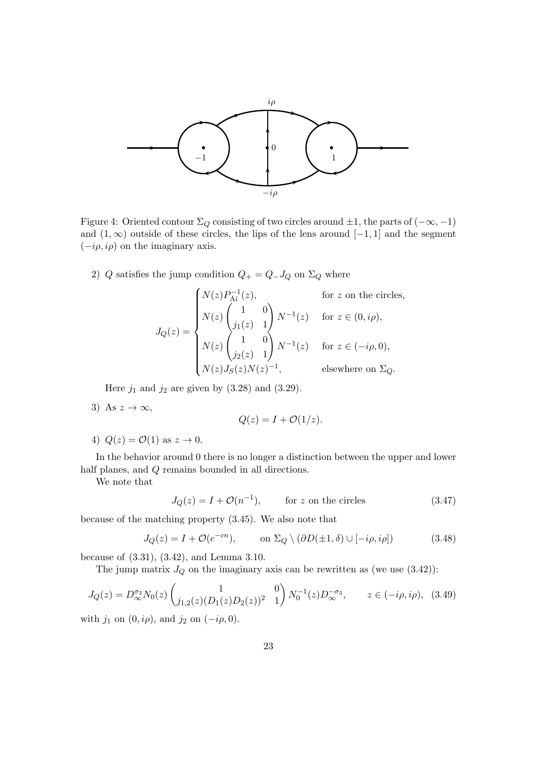

Figure 4: Oriented contour  $\Sigma_Q$  consisting of two circles around  $\pm 1$ , the parts of  $(-\infty, -1)$ and  $(1, \infty)$  outside of these circles, the lips of the lens around  $[-1, 1]$  and the segment  $(-i\rho, i\rho)$  on the imaginary axis.

2) Q satisfies the jump condition  $Q_+ = Q_- J_Q$  on  $\Sigma_Q$  where

$$
J_Q(z) = \begin{cases} N(z)P_{\text{Ai}}^{-1}(z), & \text{for } z \text{ on the circles,} \\ N(z) \begin{pmatrix} 1 & 0 \\ j_1(z) & 1 \end{pmatrix} N^{-1}(z) & \text{for } z \in (0, i\rho), \\ N(z) \begin{pmatrix} 1 & 0 \\ j_2(z) & 1 \end{pmatrix} N^{-1}(z) & \text{for } z \in (-i\rho, 0), \\ N(z)J_S(z)N(z)^{-1}, & \text{elsewhere on } \Sigma_Q. \end{cases}
$$

Here  $j_1$  and  $j_2$  are given by  $(3.28)$  and  $(3.29)$ .

3) As  $z \to \infty$ ,

$$
Q(z) = I + \mathcal{O}(1/z).
$$

4)  $Q(z) = \mathcal{O}(1)$  as  $z \to 0$ .

In the behavior around 0 there is no longer a distinction between the upper and lower half planes, and Q remains bounded in all directions.

We note that

$$
J_Q(z) = I + \mathcal{O}(n^{-1}), \qquad \text{for } z \text{ on the circles} \tag{3.47}
$$

because of the matching property (3.45). We also note that

$$
J_Q(z) = I + \mathcal{O}(e^{-cn}), \qquad \text{on } \Sigma_Q \setminus (\partial D(\pm 1, \delta) \cup [-i\rho, i\rho]) \tag{3.48}
$$

because of (3.31), (3.42), and Lemma 3.10.

The jump matrix  $J_Q$  on the imaginary axis can be rewritten as (we use  $(3.42)$ ):

$$
J_Q(z) = D_{\infty}^{\sigma_3} N_0(z) \begin{pmatrix} 1 & 0 \\ j_{1,2}(z) (D_1(z) D_2(z))^2 & 1 \end{pmatrix} N_0^{-1}(z) D_{\infty}^{-\sigma_3}, \qquad z \in (-i\rho, i\rho), \tag{3.49}
$$

with  $j_1$  on  $(0, i\rho)$ , and  $j_2$  on  $(-i\rho, 0)$ .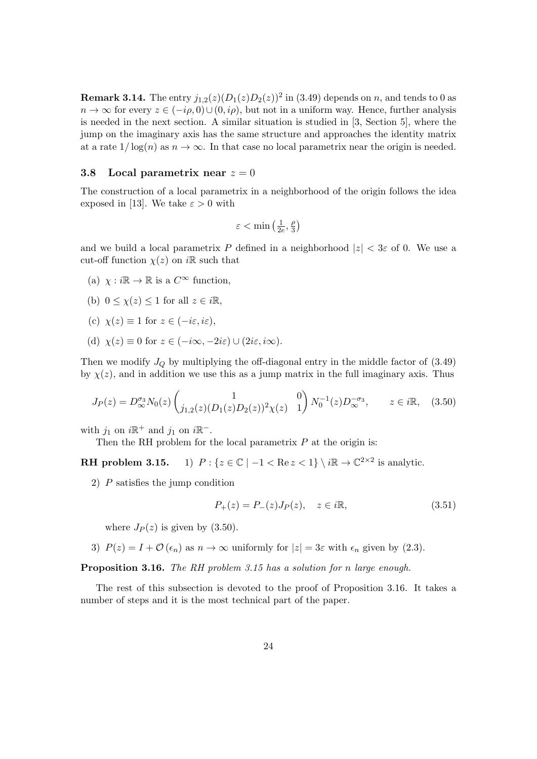**Remark 3.14.** The entry  $j_{1,2}(z)(D_1(z)D_2(z))^2$  in (3.49) depends on n, and tends to 0 as  $n \to \infty$  for every  $z \in (-i\rho, 0) \cup (0, i\rho)$ , but not in a uniform way. Hence, further analysis is needed in the next section. A similar situation is studied in [3, Section 5], where the jump on the imaginary axis has the same structure and approaches the identity matrix at a rate  $1/\log(n)$  as  $n \to \infty$ . In that case no local parametrix near the origin is needed.

#### 3.8 Local parametrix near  $z = 0$

The construction of a local parametrix in a neighborhood of the origin follows the idea exposed in [13]. We take  $\varepsilon > 0$  with

$$
\varepsilon < \min\left(\tfrac{1}{2e}, \tfrac{\rho}{3}\right)
$$

and we build a local parametrix P defined in a neighborhood  $|z| < 3\varepsilon$  of 0. We use a cut-off function  $\chi(z)$  on i $\mathbb R$  such that

- (a)  $\chi : i\mathbb{R} \to \mathbb{R}$  is a  $C^{\infty}$  function,
- (b)  $0 \leq \chi(z) \leq 1$  for all  $z \in i\mathbb{R}$ ,
- (c)  $\chi(z) \equiv 1$  for  $z \in (-i\varepsilon, i\varepsilon)$ ,
- (d)  $\chi(z) \equiv 0$  for  $z \in (-i\infty, -2i\varepsilon) \cup (2i\varepsilon, i\infty)$ .

Then we modify  $J_Q$  by multiplying the off-diagonal entry in the middle factor of  $(3.49)$ by  $\chi(z)$ , and in addition we use this as a jump matrix in the full imaginary axis. Thus

$$
J_P(z) = D_{\infty}^{\sigma_3} N_0(z) \begin{pmatrix} 1 & 0 \\ j_{1,2}(z) (D_1(z) D_2(z))^2 \chi(z) & 1 \end{pmatrix} N_0^{-1}(z) D_{\infty}^{-\sigma_3}, \qquad z \in i\mathbb{R}, \quad (3.50)
$$

with  $j_1$  on  $i\mathbb{R}^+$  and  $j_1$  on  $i\mathbb{R}^-$ .

Then the RH problem for the local parametrix  $P$  at the origin is:

**RH** problem 3.15. 1)  $P: \{z \in \mathbb{C} \mid -1 < \text{Re } z < 1\} \setminus i\mathbb{R} \to \mathbb{C}^{2 \times 2}$  is analytic.

2) P satisfies the jump condition

$$
P_{+}(z) = P_{-}(z)J_{P}(z), \quad z \in i\mathbb{R}, \tag{3.51}
$$

where  $J_P(z)$  is given by (3.50).

3)  $P(z) = I + \mathcal{O}(\epsilon_n)$  as  $n \to \infty$  uniformly for  $|z| = 3\varepsilon$  with  $\epsilon_n$  given by (2.3).

Proposition 3.16. The RH problem 3.15 has a solution for n large enough.

The rest of this subsection is devoted to the proof of Proposition 3.16. It takes a number of steps and it is the most technical part of the paper.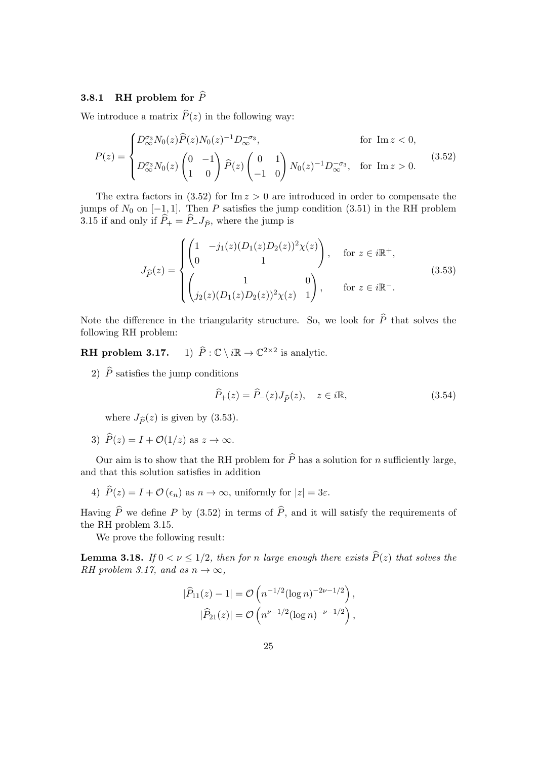#### 3.8.1 RH problem for  $\hat{P}$

We introduce a matrix  $\widehat{P}(z)$  in the following way:

$$
P(z) = \begin{cases} D_{\infty}^{\sigma_3} N_0(z) \hat{P}(z) N_0(z)^{-1} D_{\infty}^{-\sigma_3}, & \text{for } \text{Im } z < 0, \\ D_{\infty}^{\sigma_3} N_0(z) \begin{pmatrix} 0 & -1 \\ 1 & 0 \end{pmatrix} \hat{P}(z) \begin{pmatrix} 0 & 1 \\ -1 & 0 \end{pmatrix} N_0(z)^{-1} D_{\infty}^{-\sigma_3}, & \text{for } \text{Im } z > 0. \end{cases}
$$
(3.52)

The extra factors in  $(3.52)$  for Im  $z > 0$  are introduced in order to compensate the jumps of  $N_0$  on  $[-1, 1]$ . Then P satisfies the jump condition (3.51) in the RH problem 3.15 if and only if  $\hat{P}_+ = \hat{P}_- J_{\hat{P}}$ , where the jump is

$$
J_{\hat{P}}(z) = \begin{cases} \begin{pmatrix} 1 & -j_1(z)(D_1(z)D_2(z))^2 \chi(z) \\ 0 & 1 \end{pmatrix}, & \text{for } z \in i\mathbb{R}^+, \\ \begin{pmatrix} 1 & 0 \\ j_2(z)(D_1(z)D_2(z))^2 \chi(z) & 1 \end{pmatrix}, & \text{for } z \in i\mathbb{R}^-. \end{cases}
$$
(3.53)

Note the difference in the triangularity structure. So, we look for  $\widehat{P}$  that solves the following RH problem:

RH problem 3.17.  $2\times 2$  is analytic.

2)  $\hat{P}$  satisfies the jump conditions

$$
\widehat{P}_+(z) = \widehat{P}_-(z)J_{\widehat{P}}(z), \quad z \in i\mathbb{R},\tag{3.54}
$$

where  $J_{\hat{P}}(z)$  is given by (3.53).

3)  $\widehat{P}(z) = I + \mathcal{O}(1/z)$  as  $z \to \infty$ .

Our aim is to show that the RH problem for  $\widehat{P}$  has a solution for n sufficiently large, and that this solution satisfies in addition

4)  $\widehat{P}(z) = I + \mathcal{O}(\epsilon_n)$  as  $n \to \infty$ , uniformly for  $|z| = 3\varepsilon$ .

Having  $\widehat{P}$  we define P by (3.52) in terms of  $\widehat{P}$ , and it will satisfy the requirements of the RH problem 3.15.

We prove the following result:

**Lemma 3.18.** If  $0 < \nu \leq 1/2$ , then for n large enough there exists  $\widehat{P}(z)$  that solves the RH problem 3.17, and as  $n \to \infty$ ,

$$
|\widehat{P}_{11}(z) - 1| = O\left(n^{-1/2} (\log n)^{-2\nu - 1/2}\right),
$$
  

$$
|\widehat{P}_{21}(z)| = O\left(n^{\nu - 1/2} (\log n)^{-\nu - 1/2}\right),
$$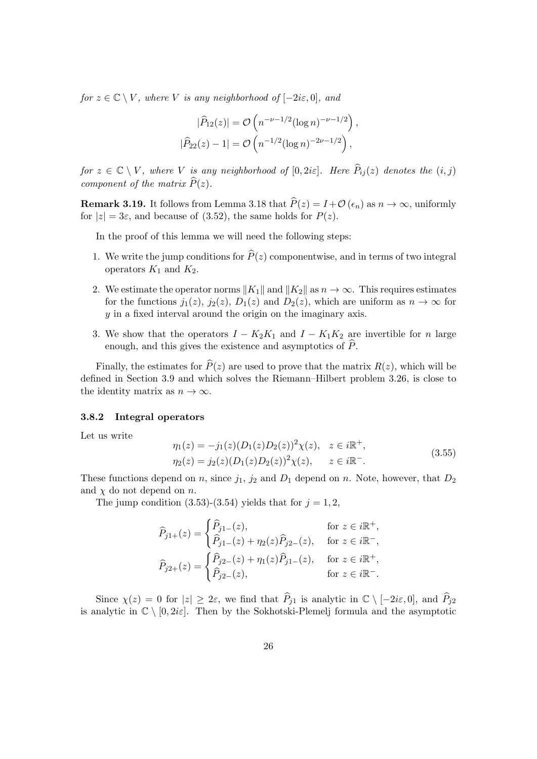for  $z \in \mathbb{C} \setminus V$ , where V is any neighborhood of  $[-2i\varepsilon, 0]$ , and

$$
|\widehat{P}_{12}(z)| = \mathcal{O}\left(n^{-\nu - 1/2} (\log n)^{-\nu - 1/2}\right),
$$
  

$$
|\widehat{P}_{22}(z) - 1| = \mathcal{O}\left(n^{-1/2} (\log n)^{-2\nu - 1/2}\right),
$$

for  $z \in \mathbb{C} \setminus V$ , where V is any neighborhood of  $[0, 2i\varepsilon]$ . Here  $\widehat{P}_{ij}(z)$  denotes the  $(i, j)$ component of the matrix  $\widehat{P}(z)$ .

**Remark 3.19.** It follows from Lemma 3.18 that  $\hat{P}(z) = I + \mathcal{O}(\epsilon_n)$  as  $n \to \infty$ , uniformly for  $|z| = 3\varepsilon$ , and because of (3.52), the same holds for  $P(z)$ .

In the proof of this lemma we will need the following steps:

- 1. We write the jump conditions for  $\widehat{P}(z)$  componentwise, and in terms of two integral operators  $K_1$  and  $K_2$ .
- 2. We estimate the operator norms  $||K_1||$  and  $||K_2||$  as  $n \to \infty$ . This requires estimates for the functions  $j_1(z)$ ,  $j_2(z)$ ,  $D_1(z)$  and  $D_2(z)$ , which are uniform as  $n \to \infty$  for y in a fixed interval around the origin on the imaginary axis.
- 3. We show that the operators  $I K_2K_1$  and  $I K_1K_2$  are invertible for n large enough, and this gives the existence and asymptotics of  $\widehat{P}$ .

Finally, the estimates for  $\widehat{P}(z)$  are used to prove that the matrix  $R(z)$ , which will be defined in Section 3.9 and which solves the Riemann–Hilbert problem 3.26, is close to the identity matrix as  $n \to \infty$ .

#### 3.8.2 Integral operators

Let us write

$$
\eta_1(z) = -j_1(z)(D_1(z)D_2(z))^2 \chi(z), \quad z \in i\mathbb{R}^+,
$$
  
\n
$$
\eta_2(z) = j_2(z)(D_1(z)D_2(z))^2 \chi(z), \quad z \in i\mathbb{R}^-.
$$
\n(3.55)

These functions depend on n, since  $j_1$ ,  $j_2$  and  $D_1$  depend on n. Note, however, that  $D_2$ and  $\chi$  do not depend on n.

The jump condition  $(3.53)-(3.54)$  yields that for  $j=1,2$ ,

$$
\label{eq:11} \begin{aligned} \widehat{P}_{j1+}(z) &= \begin{cases} \widehat{P}_{j1-}(z), & \text{for } z \in i\mathbb{R}^+, \\ \widehat{P}_{j1-}(z) + \eta_2(z) \widehat{P}_{j2-}(z), & \text{for } z \in i\mathbb{R}^-, \\ \widehat{P}_{j2+}(z) &= \begin{cases} \widehat{P}_{j2-}(z) + \eta_1(z) \widehat{P}_{j1-}(z), & \text{for } z \in i\mathbb{R}^+, \\ \widehat{P}_{j2-}(z), & \text{for } z \in i\mathbb{R}^-. \end{cases} \end{aligned}
$$

Since  $\chi(z) = 0$  for  $|z| \geq 2\varepsilon$ , we find that  $\widehat{P}_{j1}$  is analytic in  $\mathbb{C} \setminus [-2i\varepsilon, 0]$ , and  $\widehat{P}_{j2}$ is analytic in  $\mathbb{C} \setminus [0, 2i\varepsilon]$ . Then by the Sokhotski-Plemelj formula and the asymptotic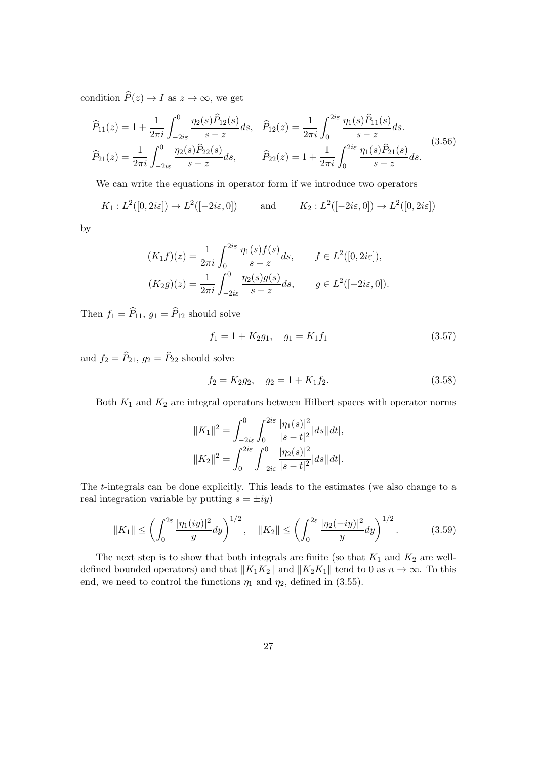condition  $\widehat{P}(z) \to I$  as  $z \to \infty$ , we get

$$
\widehat{P}_{11}(z) = 1 + \frac{1}{2\pi i} \int_{-2i\varepsilon}^{0} \frac{\eta_2(s)\widehat{P}_{12}(s)}{s - z} ds, \quad \widehat{P}_{12}(z) = \frac{1}{2\pi i} \int_{0}^{2i\varepsilon} \frac{\eta_1(s)\widehat{P}_{11}(s)}{s - z} ds.
$$
\n
$$
\widehat{P}_{21}(z) = \frac{1}{2\pi i} \int_{-2i\varepsilon}^{0} \frac{\eta_2(s)\widehat{P}_{22}(s)}{s - z} ds, \qquad \widehat{P}_{22}(z) = 1 + \frac{1}{2\pi i} \int_{0}^{2i\varepsilon} \frac{\eta_1(s)\widehat{P}_{21}(s)}{s - z} ds.
$$
\n(3.56)

We can write the equations in operator form if we introduce two operators

$$
K_1: L^2([0, 2i\varepsilon]) \to L^2([-2i\varepsilon, 0])
$$
 and  $K_2: L^2([-2i\varepsilon, 0]) \to L^2([0, 2i\varepsilon])$ 

by

$$
(K_1 f)(z) = \frac{1}{2\pi i} \int_0^{2i\varepsilon} \frac{\eta_1(s) f(s)}{s - z} ds, \qquad f \in L^2([0, 2i\varepsilon]),
$$
  

$$
(K_2 g)(z) = \frac{1}{2\pi i} \int_{-2i\varepsilon}^0 \frac{\eta_2(s) g(s)}{s - z} ds, \qquad g \in L^2([-2i\varepsilon, 0]).
$$

Then  $f_1 = \widehat{P}_{11}$ ,  $g_1 = \widehat{P}_{12}$  should solve

$$
f_1 = 1 + K_2 g_1, \quad g_1 = K_1 f_1 \tag{3.57}
$$

and  $f_2 = \widehat{P}_{21}, g_2 = \widehat{P}_{22}$  should solve

$$
f_2 = K_2 g_2, \quad g_2 = 1 + K_1 f_2. \tag{3.58}
$$

Both  $K_1$  and  $K_2$  are integral operators between Hilbert spaces with operator norms

$$
||K_1||^2 = \int_{-2i\varepsilon}^0 \int_0^{2i\varepsilon} \frac{|\eta_1(s)|^2}{|s-t|^2} |ds| |dt|,
$$
  

$$
||K_2||^2 = \int_0^{2i\varepsilon} \int_{-2i\varepsilon}^0 \frac{|\eta_2(s)|^2}{|s-t|^2} |ds| |dt|.
$$

The t-integrals can be done explicitly. This leads to the estimates (we also change to a real integration variable by putting  $s = \pm iy$ 

$$
||K_1|| \le \left(\int_0^{2\varepsilon} \frac{|\eta_1(iy)|^2}{y} dy\right)^{1/2}, \quad ||K_2|| \le \left(\int_0^{2\varepsilon} \frac{|\eta_2(-iy)|^2}{y} dy\right)^{1/2}.
$$
 (3.59)

The next step is to show that both integrals are finite (so that  $K_1$  and  $K_2$  are welldefined bounded operators) and that  $||K_1K_2||$  and  $||K_2K_1||$  tend to 0 as  $n \to \infty$ . To this end, we need to control the functions  $\eta_1$  and  $\eta_2$ , defined in (3.55).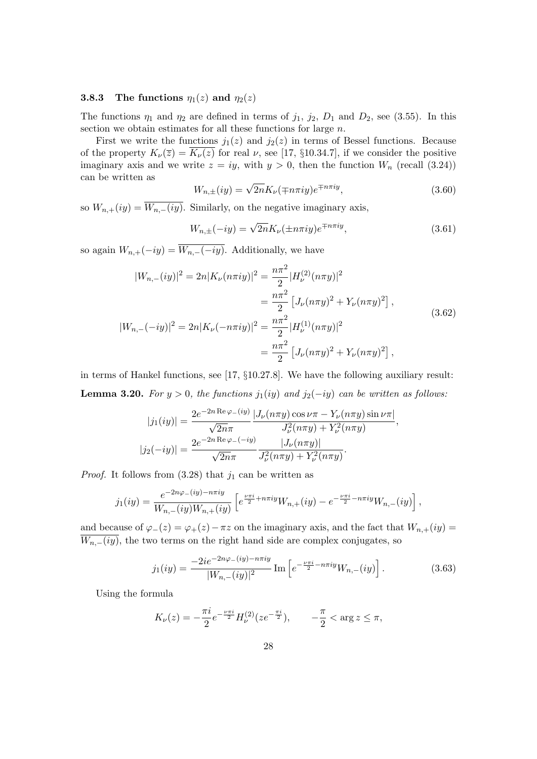#### **3.8.3** The functions  $\eta_1(z)$  and  $\eta_2(z)$

The functions  $\eta_1$  and  $\eta_2$  are defined in terms of  $j_1$ ,  $j_2$ ,  $D_1$  and  $D_2$ , see (3.55). In this section we obtain estimates for all these functions for large  $n$ .

First we write the functions  $j_1(z)$  and  $j_2(z)$  in terms of Bessel functions. Because of the property  $K_{\nu}(\overline{z}) = \overline{K_{\nu}(z)}$  for real  $\nu$ , see [17, §10.34.7], if we consider the positive imaginary axis and we write  $z = iy$ , with  $y > 0$ , then the function  $W_n$  (recall (3.24)) can be written as

$$
W_{n,\pm}(iy) = \sqrt{2n} K_{\nu}(\mp n\pi iy) e^{\mp n\pi iy}, \qquad (3.60)
$$

so  $W_{n,+}(iy) = \overline{W_{n,-}(iy)}$ . Similarly, on the negative imaginary axis,

$$
W_{n,\pm}(-iy) = \sqrt{2n} K_{\nu}(\pm n\pi iy) e^{\mp n\pi iy}, \qquad (3.61)
$$

so again  $W_{n,+}(-iy) = \overline{W_{n,-}(-iy)}$ . Additionally, we have

$$
|W_{n,-}(iy)|^2 = 2n|K_{\nu}(n\pi iy)|^2 = \frac{n\pi^2}{2}|H_{\nu}^{(2)}(n\pi y)|^2
$$
  
\n
$$
= \frac{n\pi^2}{2}[J_{\nu}(n\pi y)^2 + Y_{\nu}(n\pi y)^2],
$$
  
\n
$$
|W_{n,-}(-iy)|^2 = 2n|K_{\nu}(-n\pi iy)|^2 = \frac{n\pi^2}{2}|H_{\nu}^{(1)}(n\pi y)|^2
$$
  
\n
$$
= \frac{n\pi^2}{2}[J_{\nu}(n\pi y)^2 + Y_{\nu}(n\pi y)^2],
$$
\n(3.62)

in terms of Hankel functions, see [17, §10.27.8]. We have the following auxiliary result: **Lemma 3.20.** For  $y > 0$ , the functions  $j_1(iy)$  and  $j_2(-iy)$  can be written as follows:

$$
|j_1(iy)| = \frac{2e^{-2n \operatorname{Re} \varphi_{-}(iy)}}{\sqrt{2n}\pi} \frac{|J_{\nu}(n\pi y)\cos \nu\pi - Y_{\nu}(n\pi y)\sin \nu\pi|}{J_{\nu}^2(n\pi y) + Y_{\nu}^2(n\pi y)},
$$
  

$$
|j_2(-iy)| = \frac{2e^{-2n \operatorname{Re} \varphi_{-}(-iy)}}{\sqrt{2n}\pi} \frac{|J_{\nu}(n\pi y)|}{J_{\nu}^2(n\pi y) + Y_{\nu}^2(n\pi y)}.
$$

*Proof.* It follows from  $(3.28)$  that  $j_1$  can be written as

$$
j_1(iy) = \frac{e^{-2n\varphi_{-}(iy) - n\pi iy}}{W_{n,-}(iy)W_{n,+}(iy)} \left[ e^{\frac{\nu\pi i}{2} + n\pi iy}W_{n,+}(iy) - e^{-\frac{\nu\pi i}{2} - n\pi iy}W_{n,-}(iy) \right],
$$

and because of  $\varphi_-(z) = \varphi_+(z) - \pi z$  on the imaginary axis, and the fact that  $W_{n,+}(iy) =$  $\overline{W_{n,-}(iy)}$ , the two terms on the right hand side are complex conjugates, so

$$
j_1(iy) = \frac{-2ie^{-2n\varphi_{-}(iy) - n\pi iy}}{|W_{n,-}(iy)|^2} \operatorname{Im} \left[ e^{-\frac{\nu\pi i}{2} - n\pi iy} W_{n,-}(iy) \right]. \tag{3.63}
$$

Using the formula

$$
K_{\nu}(z) = -\frac{\pi i}{2} e^{-\frac{\nu \pi i}{2}} H_{\nu}^{(2)}(z e^{-\frac{\pi i}{2}}), \qquad -\frac{\pi}{2} < \arg z \le \pi,
$$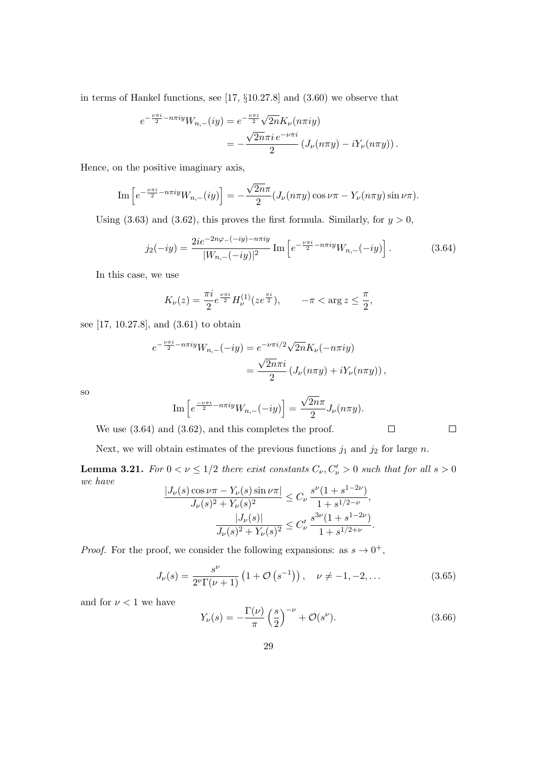in terms of Hankel functions, see [17, §10.27.8] and (3.60) we observe that

$$
e^{-\frac{\nu\pi i}{2} - n\pi i y} W_{n,-}(iy) = e^{-\frac{\nu\pi i}{2}} \sqrt{2n} K_{\nu}(n\pi i y)
$$
  
= 
$$
-\frac{\sqrt{2n}\pi i e^{-\nu\pi i}}{2} \left(J_{\nu}(n\pi y) - iY_{\nu}(n\pi y)\right).
$$

Hence, on the positive imaginary axis,

Im 
$$
\left[ e^{-\frac{\nu \pi i}{2} - n \pi i y} W_{n,-}(iy) \right] = -\frac{\sqrt{2n}\pi}{2} (J_{\nu}(n\pi y) \cos \nu \pi - Y_{\nu}(n\pi y) \sin \nu \pi).
$$

Using (3.63) and (3.62), this proves the first formula. Similarly, for  $y > 0$ ,

$$
j_2(-iy) = \frac{2ie^{-2n\varphi - (-iy) - n\pi iy}}{|W_{n,-}(-iy)|^2} \operatorname{Im} \left[ e^{-\frac{\nu\pi i}{2} - n\pi iy} W_{n,-}(-iy) \right]. \tag{3.64}
$$

In this case, we use

$$
K_{\nu}(z) = \frac{\pi i}{2} e^{\frac{\nu \pi i}{2}} H_{\nu}^{(1)}(z e^{\frac{\pi i}{2}}), \qquad -\pi < \arg z \le \frac{\pi}{2},
$$

see [17, 10.27.8], and (3.61) to obtain

$$
e^{-\frac{\nu\pi i}{2} - n\pi i y} W_{n,-}(-iy) = e^{-\nu\pi i/2} \sqrt{2n} K_{\nu}(-n\pi i y)
$$
  
= 
$$
\frac{\sqrt{2n}\pi i}{2} \left(J_{\nu}(n\pi y) + iY_{\nu}(n\pi y)\right),
$$

so

Im 
$$
\left[ e^{\frac{-\nu \pi i}{2} - n \pi i y} W_{n,-}(-i y) \right] = \frac{\sqrt{2n} \pi}{2} J_{\nu}(n \pi y).
$$

We use  $(3.64)$  and  $(3.62)$ , and this completes the proof.

Next, we will obtain estimates of the previous functions  $j_1$  and  $j_2$  for large n.

**Lemma 3.21.** For  $0 < \nu \leq 1/2$  there exist constants  $C_{\nu}, C_{\nu}^{\prime} > 0$  such that for all  $s > 0$ we have

$$
\frac{|J_{\nu}(s)\cos\nu\pi - Y_{\nu}(s)\sin\nu\pi|}{J_{\nu}(s)^{2} + Y_{\nu}(s)^{2}} \leq C_{\nu} \frac{s^{\nu}(1+s^{1-2\nu})}{1+s^{1/2-\nu}},
$$

$$
\frac{|J_{\nu}(s)|}{J_{\nu}(s)^{2} + Y_{\nu}(s)^{2}} \leq C_{\nu}' \frac{s^{3\nu}(1+s^{1-2\nu})}{1+s^{1/2+\nu}}.
$$

*Proof.* For the proof, we consider the following expansions: as  $s \to 0^+$ ,

$$
J_{\nu}(s) = \frac{s^{\nu}}{2^{\nu} \Gamma(\nu + 1)} \left( 1 + \mathcal{O}\left(s^{-1}\right) \right), \quad \nu \neq -1, -2, \dots \tag{3.65}
$$

and for  $\nu < 1$  we have

$$
Y_{\nu}(s) = -\frac{\Gamma(\nu)}{\pi} \left(\frac{s}{2}\right)^{-\nu} + \mathcal{O}(s^{\nu}).\tag{3.66}
$$

 $\Box$ 

 $\Box$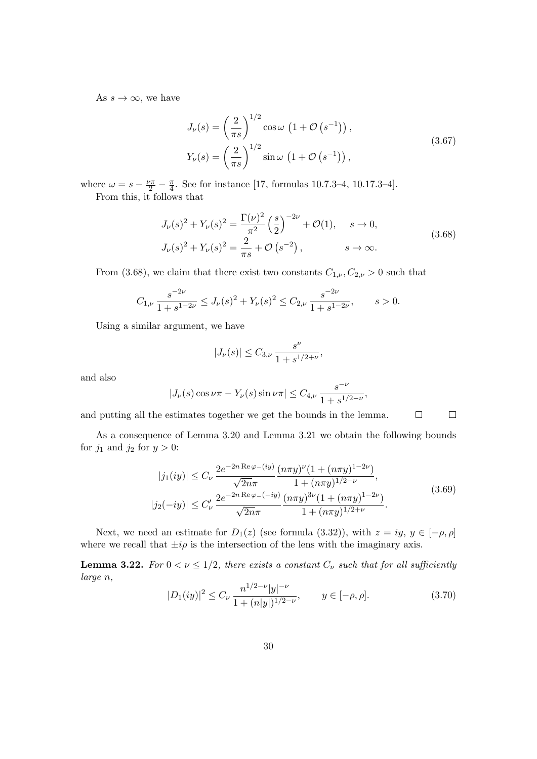As  $s \to \infty$ , we have

$$
J_{\nu}(s) = \left(\frac{2}{\pi s}\right)^{1/2} \cos \omega \left(1 + \mathcal{O}\left(s^{-1}\right)\right),
$$
  
\n
$$
Y_{\nu}(s) = \left(\frac{2}{\pi s}\right)^{1/2} \sin \omega \left(1 + \mathcal{O}\left(s^{-1}\right)\right),
$$
\n(3.67)

where  $\omega = s - \frac{\nu \pi}{2} - \frac{\pi}{4}$  $\frac{\pi}{4}$ . See for instance [17, formulas 10.7.3–4, 10.17.3–4]. From this, it follows that

$$
J_{\nu}(s)^{2} + Y_{\nu}(s)^{2} = \frac{\Gamma(\nu)^{2}}{\pi^{2}} \left(\frac{s}{2}\right)^{-2\nu} + \mathcal{O}(1), \quad s \to 0,
$$
  

$$
J_{\nu}(s)^{2} + Y_{\nu}(s)^{2} = \frac{2}{\pi s} + \mathcal{O}(s^{-2}), \quad s \to \infty.
$$
 (3.68)

From (3.68), we claim that there exist two constants  $C_{1,\nu}, C_{2,\nu} > 0$  such that

$$
C_{1,\nu} \frac{s^{-2\nu}}{1+s^{1-2\nu}} \le J_{\nu}(s)^2 + Y_{\nu}(s)^2 \le C_{2,\nu} \frac{s^{-2\nu}}{1+s^{1-2\nu}}, \qquad s > 0.
$$

Using a similar argument, we have

$$
|J_{\nu}(s)|\leq C_{3,\nu}\,\frac{s^{\nu}}{1+s^{1/2+\nu}},
$$

and also

$$
|J_{\nu}(s)\cos\nu\pi - Y_{\nu}(s)\sin\nu\pi| \leq C_{4,\nu} \frac{s^{-\nu}}{1 + s^{1/2 - \nu}},
$$

 $\Box$ and putting all the estimates together we get the bounds in the lemma.

As a consequence of Lemma 3.20 and Lemma 3.21 we obtain the following bounds for  $j_1$  and  $j_2$  for  $y > 0$ :

$$
|j_1(iy)| \le C_\nu \frac{2e^{-2n \operatorname{Re}\varphi_{-}(iy)} \left(n\pi y\right)^{\nu} (1 + (n\pi y)^{1-2\nu})}{\sqrt{2n}\pi} + (n\pi y)^{1/2-\nu},
$$
  

$$
|j_2(-iy)| \le C'_\nu \frac{2e^{-2n \operatorname{Re}\varphi_{-}(-iy)} \left(n\pi y\right)^{3\nu} (1 + (n\pi y)^{1-2\nu})}{\sqrt{2n}\pi}.
$$
 (3.69)

 $\Box$ 

Next, we need an estimate for  $D_1(z)$  (see formula (3.32)), with  $z = iy, y \in [-\rho, \rho]$ where we recall that  $\pm i\rho$  is the intersection of the lens with the imaginary axis.

**Lemma 3.22.** For  $0 < \nu \leq 1/2$ , there exists a constant  $C_{\nu}$  such that for all sufficiently large n,

$$
|D_1(iy)|^2 \le C_\nu \frac{n^{1/2-\nu}|y|^{-\nu}}{1+(n|y|)^{1/2-\nu}}, \qquad y \in [-\rho, \rho]. \tag{3.70}
$$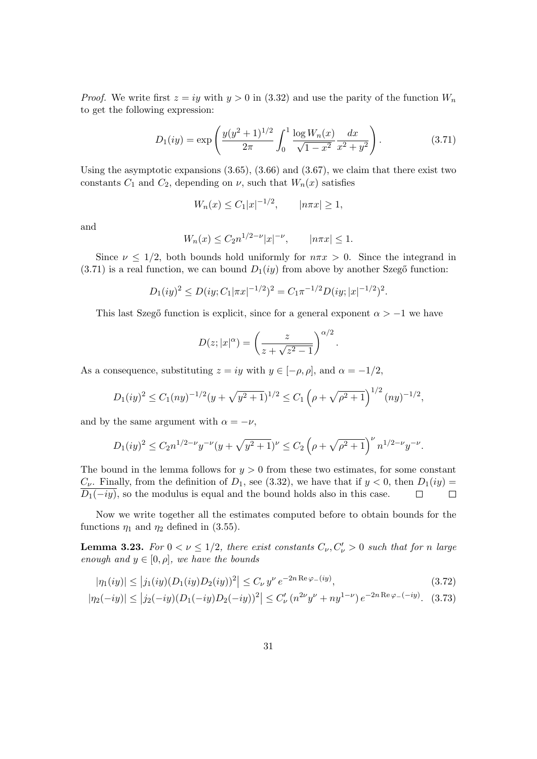*Proof.* We write first  $z = iy$  with  $y > 0$  in (3.32) and use the parity of the function  $W_n$ to get the following expression:

$$
D_1(iy) = \exp\left(\frac{y(y^2+1)^{1/2}}{2\pi} \int_0^1 \frac{\log W_n(x)}{\sqrt{1-x^2}} \frac{dx}{x^2+y^2}\right).
$$
 (3.71)

Using the asymptotic expansions  $(3.65), (3.66)$  and  $(3.67),$  we claim that there exist two constants  $C_1$  and  $C_2$ , depending on  $\nu$ , such that  $W_n(x)$  satisfies

$$
W_n(x) \le C_1 |x|^{-1/2}, \qquad |n\pi x| \ge 1,
$$

and

$$
W_n(x) \le C_2 n^{1/2 - \nu} |x|^{-\nu}, \qquad |n\pi x| \le 1.
$$

Since  $\nu \leq 1/2$ , both bounds hold uniformly for  $n\pi x > 0$ . Since the integrand in  $(3.71)$  is a real function, we can bound  $D_1(iy)$  from above by another Szegő function:

$$
D_1(iy)^2 \le D(iy; C_1|\pi x|^{-1/2})^2 = C_1 \pi^{-1/2} D(iy; |x|^{-1/2})^2.
$$

This last Szegő function is explicit, since for a general exponent  $\alpha > -1$  we have

$$
D(z;|x|^{\alpha}) = \left(\frac{z}{z + \sqrt{z^2 - 1}}\right)^{\alpha/2}.
$$

As a consequence, substituting  $z = iy$  with  $y \in [-\rho, \rho]$ , and  $\alpha = -1/2$ ,

$$
D_1(iy)^2 \le C_1(ny)^{-1/2}(y+\sqrt{y^2+1})^{1/2} \le C_1\left(\rho+\sqrt{\rho^2+1}\right)^{1/2}(ny)^{-1/2},
$$

and by the same argument with  $\alpha = -\nu$ ,

$$
D_1(iy)^2 \le C_2 n^{1/2-\nu} y^{-\nu} (y + \sqrt{y^2 + 1})^{\nu} \le C_2 \left(\rho + \sqrt{\rho^2 + 1}\right)^{\nu} n^{1/2-\nu} y^{-\nu}.
$$

The bound in the lemma follows for  $y > 0$  from these two estimates, for some constant  $C_{\nu}$ . Finally, from the definition of  $D_1$ , see (3.32), we have that if  $y < 0$ , then  $D_1(iy) =$  $D_1(-iy)$ , so the modulus is equal and the bound holds also in this case.  $\Box$  $\Box$ 

Now we write together all the estimates computed before to obtain bounds for the functions  $\eta_1$  and  $\eta_2$  defined in (3.55).

**Lemma 3.23.** For  $0 < \nu \leq 1/2$ , there exist constants  $C_{\nu}, C_{\nu} > 0$  such that for n large enough and  $y \in [0, \rho]$ , we have the bounds

$$
|\eta_1(iy)| \le |j_1(iy)(D_1(iy)D_2(iy))^2| \le C_\nu y^\nu e^{-2n \operatorname{Re}\varphi_{-}(iy)},\tag{3.72}
$$

$$
|\eta_2(-iy)| \le |j_2(-iy)(D_1(-iy)D_2(-iy))^2| \le C'_{\nu} (n^{2\nu}y^{\nu} + ny^{1-\nu}) e^{-2n \operatorname{Re}\varphi - (-iy)}.
$$
 (3.73)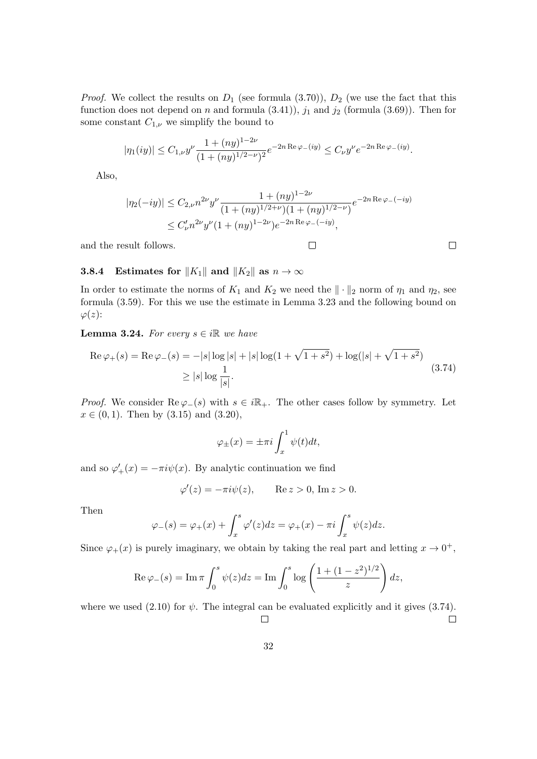*Proof.* We collect the results on  $D_1$  (see formula (3.70)),  $D_2$  (we use the fact that this function does not depend on n and formula  $(3.41)$ ,  $j_1$  and  $j_2$  (formula  $(3.69)$ ). Then for some constant  $C_{1,\nu}$  we simplify the bound to

$$
|\eta_1(iy)| \le C_{1,\nu} y^{\nu} \frac{1 + (ny)^{1-2\nu}}{(1 + (ny)^{1/2 - \nu})^2} e^{-2n \operatorname{Re} \varphi_-(iy)} \le C_{\nu} y^{\nu} e^{-2n \operatorname{Re} \varphi_-(iy)}.
$$

Also,

$$
|\eta_2(-iy)| \le C_{2,\nu} n^{2\nu} y^{\nu} \frac{1 + (ny)^{1-2\nu}}{(1 + (ny)^{1/2+\nu})(1 + (ny)^{1/2-\nu})} e^{-2n \operatorname{Re}\varphi_-( - iy)} \le C'_{\nu} n^{2\nu} y^{\nu} (1 + (ny)^{1-2\nu}) e^{-2n \operatorname{Re}\varphi_-( - iy)},
$$

 $\Box$ 

 $\Box$ 

and the result follows.

#### **3.8.4** Estimates for  $||K_1||$  and  $||K_2||$  as  $n \to \infty$

In order to estimate the norms of  $K_1$  and  $K_2$  we need the  $\|\cdot\|_2$  norm of  $\eta_1$  and  $\eta_2$ , see formula (3.59). For this we use the estimate in Lemma 3.23 and the following bound on  $\varphi(z)$ :

**Lemma 3.24.** For every  $s \in i\mathbb{R}$  we have

$$
\operatorname{Re}\varphi_{+}(s) = \operatorname{Re}\varphi_{-}(s) = -|s|\log|s| + |s|\log(1+\sqrt{1+s^2}) + \log(|s|+\sqrt{1+s^2})
$$
  
 
$$
\geq |s|\log\frac{1}{|s|}.
$$
 (3.74)

*Proof.* We consider  $\text{Re}\,\varphi_-(s)$  with  $s \in i\mathbb{R}_+$ . The other cases follow by symmetry. Let  $x \in (0, 1)$ . Then by  $(3.15)$  and  $(3.20)$ ,

$$
\varphi_{\pm}(x) = \pm \pi i \int_x^1 \psi(t) dt,
$$

and so  $\varphi'_{+}(x) = -\pi i \psi(x)$ . By analytic continuation we find

$$
\varphi'(z) = -\pi i \psi(z), \qquad \text{Re}\, z > 0, \text{ Im}\, z > 0.
$$

Then

$$
\varphi_{-}(s) = \varphi_{+}(x) + \int_{x}^{s} \varphi'(z) dz = \varphi_{+}(x) - \pi i \int_{x}^{s} \psi(z) dz.
$$

Since  $\varphi_+(x)$  is purely imaginary, we obtain by taking the real part and letting  $x \to 0^+,$ 

Re 
$$
\varphi_{-}(s) = \text{Im }\pi \int_{0}^{s} \psi(z) dz = \text{Im }\int_{0}^{s} \log \left( \frac{1 + (1 - z^{2})^{1/2}}{z} \right) dz,
$$

where we used (2.10) for  $\psi$ . The integral can be evaluated explicitly and it gives (3.74).  $\Box$  $\Box$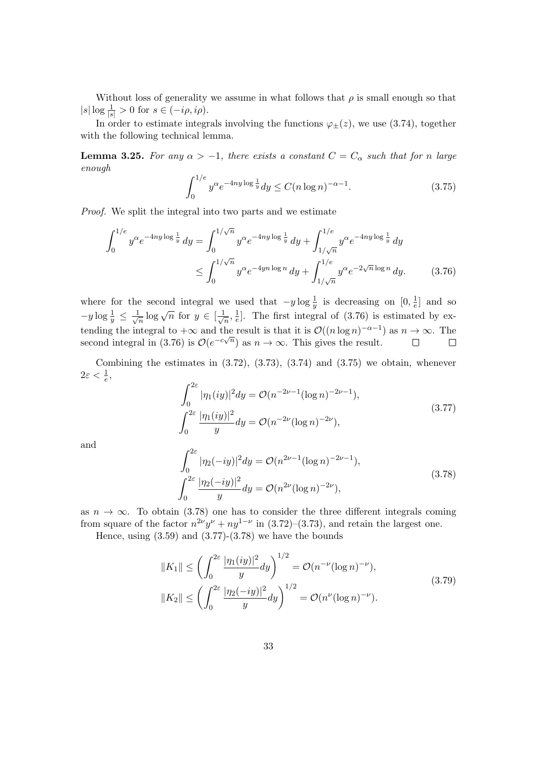Without loss of generality we assume in what follows that  $\rho$  is small enough so that  $|s| \log \frac{1}{|s|} > 0$  for  $s \in (-i\rho, i\rho)$ .

In order to estimate integrals involving the functions  $\varphi_{\pm}(z)$ , we use (3.74), together with the following technical lemma.

**Lemma 3.25.** For any  $\alpha > -1$ , there exists a constant  $C = C_{\alpha}$  such that for n large enough

$$
\int_0^{1/e} y^{\alpha} e^{-4ny \log \frac{1}{y}} dy \le C(n \log n)^{-\alpha - 1}.
$$
 (3.75)

Proof. We split the integral into two parts and we estimate

$$
\int_0^{1/e} y^{\alpha} e^{-4ny \log \frac{1}{y}} dy = \int_0^{1/\sqrt{n}} y^{\alpha} e^{-4ny \log \frac{1}{y}} dy + \int_{1/\sqrt{n}}^{1/e} y^{\alpha} e^{-4ny \log \frac{1}{y}} dy
$$
  

$$
\leq \int_0^{1/\sqrt{n}} y^{\alpha} e^{-4yn \log n} dy + \int_{1/\sqrt{n}}^{1/e} y^{\alpha} e^{-2\sqrt{n} \log n} dy. \tag{3.76}
$$

where for the second integral we used that  $-y \log \frac{1}{y}$  is decreasing on  $[0, \frac{1}{e}]$  $\frac{1}{e}$  and so  $-y \log \frac{1}{y} \leq \frac{1}{\sqrt{2}}$  $\frac{1}{\overline{n}}\log\sqrt{n}$  for  $y \in \left[\frac{1}{\sqrt{n}}\right]$  $\frac{1}{\overline{n}}, \frac{1}{e}$  $\frac{1}{e}$ . The first integral of (3.76) is estimated by extending the integral to  $+\infty$  and the result is that it is  $\mathcal{O}((n \log n)^{-\alpha-1})$  as  $n \to \infty$ . The second integral in (3.76) is  $\mathcal{O}(e^{-c\sqrt{n}})$  as  $n \to \infty$ . This gives the result.

Combining the estimates in  $(3.72)$ ,  $(3.73)$ ,  $(3.74)$  and  $(3.75)$  we obtain, whenever  $2\varepsilon < \frac{1}{e},$ 

$$
\int_0^{2\varepsilon} |\eta_1(iy)|^2 dy = \mathcal{O}(n^{-2\nu - 1} (\log n)^{-2\nu - 1}),
$$
  

$$
\int_0^{2\varepsilon} \frac{|\eta_1(iy)|^2}{y} dy = \mathcal{O}(n^{-2\nu} (\log n)^{-2\nu}),
$$
 (3.77)

and

$$
\int_0^{2\varepsilon} |\eta_2(-iy)|^2 dy = \mathcal{O}(n^{2\nu - 1} (\log n)^{-2\nu - 1}),
$$
  

$$
\int_0^{2\varepsilon} \frac{|\eta_2(-iy)|^2}{y} dy = \mathcal{O}(n^{2\nu} (\log n)^{-2\nu}),
$$
 (3.78)

as  $n \to \infty$ . To obtain (3.78) one has to consider the three different integrals coming from square of the factor  $n^{2\nu}y^{\nu} + ny^{1-\nu}$  in (3.72)–(3.73), and retain the largest one.

Hence, using  $(3.59)$  and  $(3.77)-(3.78)$  we have the bounds

$$
||K_1|| \le \left(\int_0^{2\varepsilon} \frac{|\eta_1(iy)|^2}{y} dy\right)^{1/2} = \mathcal{O}(n^{-\nu} (\log n)^{-\nu}),
$$
  
\n
$$
||K_2|| \le \left(\int_0^{2\varepsilon} \frac{|\eta_2(-iy)|^2}{y} dy\right)^{1/2} = \mathcal{O}(n^{\nu} (\log n)^{-\nu}).
$$
\n(3.79)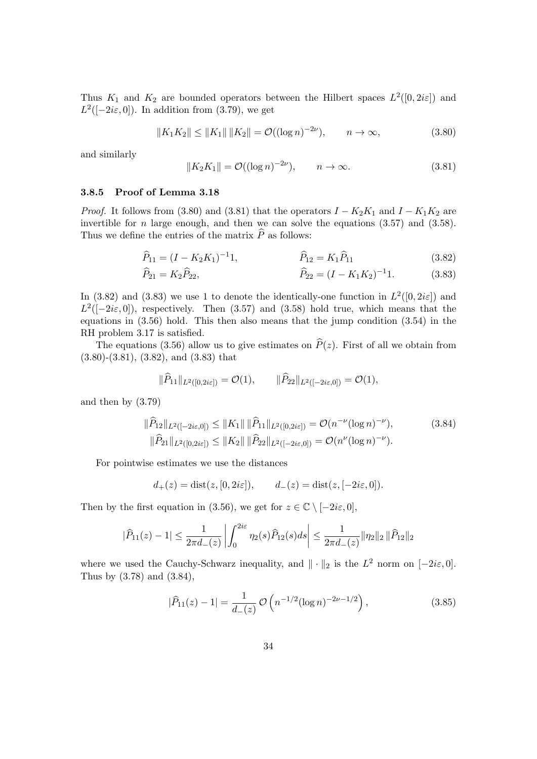Thus  $K_1$  and  $K_2$  are bounded operators between the Hilbert spaces  $L^2([0, 2i\varepsilon])$  and  $L^2([-2i\varepsilon, 0])$ . In addition from (3.79), we get

$$
||K_1K_2|| \le ||K_1|| \, ||K_2|| = \mathcal{O}((\log n)^{-2\nu}), \qquad n \to \infty,
$$
\n(3.80)

and similarly

$$
||K_2K_1|| = \mathcal{O}((\log n)^{-2\nu}), \qquad n \to \infty.
$$
 (3.81)

#### 3.8.5 Proof of Lemma 3.18

*Proof.* It follows from (3.80) and (3.81) that the operators  $I - K_2K_1$  and  $I - K_1K_2$  are invertible for  $n$  large enough, and then we can solve the equations  $(3.57)$  and  $(3.58)$ . Thus we define the entries of the matrix  $\widehat{P}$  as follows:

$$
\widehat{P}_{11} = (I - K_2 K_1)^{-1} 1, \qquad \widehat{P}_{12} = K_1 \widehat{P}_{11} \qquad (3.82)
$$

$$
\widehat{P}_{21} = K_2 \widehat{P}_{22}, \qquad \widehat{P}_{22} = (I - K_1 K_2)^{-1} \tag{3.83}
$$

In (3.82) and (3.83) we use 1 to denote the identically-one function in  $L^2([0, 2i\varepsilon])$  and  $L^2([-2i\varepsilon, 0])$ , respectively. Then (3.57) and (3.58) hold true, which means that the equations in (3.56) hold. This then also means that the jump condition (3.54) in the RH problem 3.17 is satisfied.

The equations (3.56) allow us to give estimates on  $\hat{P}(z)$ . First of all we obtain from (3.80)-(3.81), (3.82), and (3.83) that

$$
\|\widehat{P}_{11}\|_{L^2([0,2i\varepsilon])}=\mathcal{O}(1),\qquad \|\widehat{P}_{22}\|_{L^2([-2i\varepsilon,0])}=\mathcal{O}(1),
$$

and then by (3.79)

$$
\|\widehat{P}_{12}\|_{L^{2}([-2i\varepsilon,0])} \leq \|K_{1}\| \|\widehat{P}_{11}\|_{L^{2}([0,2i\varepsilon])} = \mathcal{O}(n^{-\nu}(\log n)^{-\nu}), \tag{3.84}
$$
  

$$
\|\widehat{P}_{21}\|_{L^{2}([0,2i\varepsilon])} \leq \|K_{2}\| \|\widehat{P}_{22}\|_{L^{2}([-2i\varepsilon,0])} = \mathcal{O}(n^{\nu}(\log n)^{-\nu}).
$$

For pointwise estimates we use the distances

$$
d_+(z) = \text{dist}(z, [0, 2i\varepsilon]), \qquad d_-(z) = \text{dist}(z, [-2i\varepsilon, 0]).
$$

Then by the first equation in (3.56), we get for  $z \in \mathbb{C} \setminus [-2i\varepsilon, 0]$ ,

$$
|\widehat{P}_{11}(z) - 1| \le \frac{1}{2\pi d_-(z)} \left| \int_0^{2i\varepsilon} \eta_2(s) \widehat{P}_{12}(s) ds \right| \le \frac{1}{2\pi d_-(z)} \|\eta_2\|_2 \|\widehat{P}_{12}\|_2
$$

where we used the Cauchy-Schwarz inequality, and  $\|\cdot\|_2$  is the  $L^2$  norm on  $[-2i\varepsilon, 0]$ . Thus by (3.78) and (3.84),

$$
|\widehat{P}_{11}(z) - 1| = \frac{1}{d_{-}(z)} \mathcal{O}\left(n^{-1/2} (\log n)^{-2\nu - 1/2}\right),\tag{3.85}
$$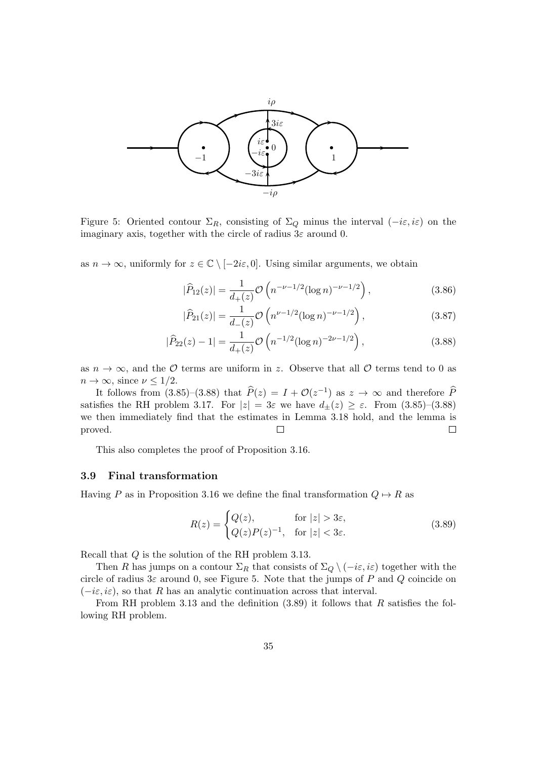

Figure 5: Oriented contour  $\Sigma_R$ , consisting of  $\Sigma_Q$  minus the interval  $(-i\varepsilon, i\varepsilon)$  on the imaginary axis, together with the circle of radius  $3\varepsilon$  around 0.

as  $n \to \infty$ , uniformly for  $z \in \mathbb{C} \setminus [-2i\varepsilon, 0]$ . Using similar arguments, we obtain

$$
|\widehat{P}_{12}(z)| = \frac{1}{d_+(z)} \mathcal{O}\left(n^{-\nu - 1/2} (\log n)^{-\nu - 1/2}\right),\tag{3.86}
$$

$$
|\widehat{P}_{21}(z)| = \frac{1}{d_{-}(z)} \mathcal{O}\left(n^{\nu - 1/2} (\log n)^{-\nu - 1/2}\right),\tag{3.87}
$$

$$
|\widehat{P}_{22}(z) - 1| = \frac{1}{d_+(z)} \mathcal{O}\left(n^{-1/2} (\log n)^{-2\nu - 1/2}\right),\tag{3.88}
$$

as  $n \to \infty$ , and the  $\mathcal O$  terms are uniform in z. Observe that all  $\mathcal O$  terms tend to 0 as  $n \to \infty$ , since  $\nu \leq 1/2$ .

It follows from  $(3.85)-(3.88)$  that  $\hat{P}(z) = I + \mathcal{O}(z^{-1})$  as  $z \to \infty$  and therefore  $\hat{P}$ satisfies the RH problem 3.17. For  $|z| = 3\varepsilon$  we have  $d_{\pm}(z) \geq \varepsilon$ . From  $(3.85)-(3.88)$ we then immediately find that the estimates in Lemma 3.18 hold, and the lemma is proved.  $\Box$  $\Box$ 

This also completes the proof of Proposition 3.16.

#### 3.9 Final transformation

Having P as in Proposition 3.16 we define the final transformation  $Q \mapsto R$  as

$$
R(z) = \begin{cases} Q(z), & \text{for } |z| > 3\varepsilon, \\ Q(z)P(z)^{-1}, & \text{for } |z| < 3\varepsilon. \end{cases} \tag{3.89}
$$

Recall that Q is the solution of the RH problem 3.13.

Then R has jumps on a contour  $\Sigma_R$  that consists of  $\Sigma_Q \setminus (-i\varepsilon, i\varepsilon)$  together with the circle of radius  $3\varepsilon$  around 0, see Figure 5. Note that the jumps of P and Q coincide on  $(-i\varepsilon, i\varepsilon)$ , so that R has an analytic continuation across that interval.

From RH problem 3.13 and the definition  $(3.89)$  it follows that R satisfies the following RH problem.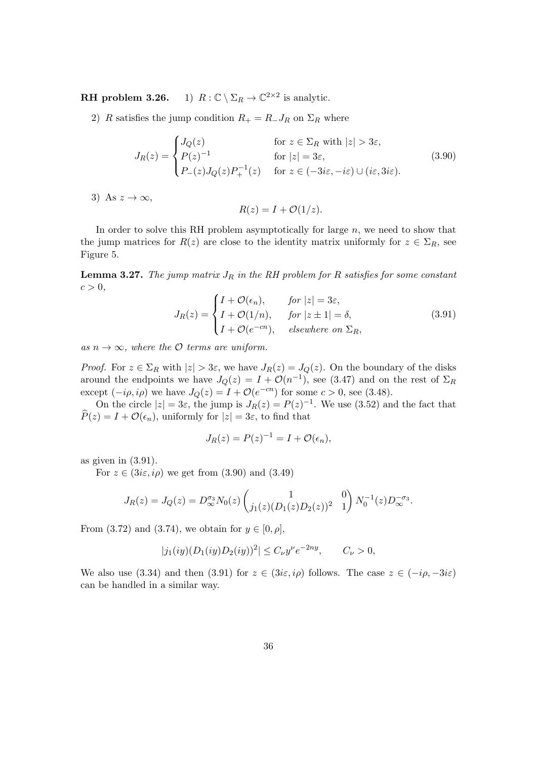**RH** problem 3.26. 1)  $R: \mathbb{C} \setminus \Sigma_R \to \mathbb{C}^{2 \times 2}$  is analytic.

2) R satisfies the jump condition  $R_+ = R_- J_R$  on  $\Sigma_R$  where

$$
J_R(z) = \begin{cases} J_Q(z) & \text{for } z \in \Sigma_R \text{ with } |z| > 3\varepsilon, \\ P(z)^{-1} & \text{for } |z| = 3\varepsilon, \\ P_-(z)J_Q(z)P_+^{-1}(z) & \text{for } z \in (-3i\varepsilon, -i\varepsilon) \cup (i\varepsilon, 3i\varepsilon). \end{cases} \tag{3.90}
$$

3) As  $z \to \infty$ ,

$$
R(z) = I + \mathcal{O}(1/z).
$$

In order to solve this RH problem asymptotically for large  $n$ , we need to show that the jump matrices for  $R(z)$  are close to the identity matrix uniformly for  $z \in \Sigma_R$ , see Figure 5.

**Lemma 3.27.** The jump matrix  $J_R$  in the RH problem for R satisfies for some constant  $c > 0$ ,

$$
J_R(z) = \begin{cases} I + \mathcal{O}(\epsilon_n), & \text{for } |z| = 3\varepsilon, \\ I + \mathcal{O}(1/n), & \text{for } |z \pm 1| = \delta, \\ I + \mathcal{O}(e^{-cn}), & \text{elsewhere on } \Sigma_R, \end{cases}
$$
(3.91)

as  $n \to \infty$ , where the O terms are uniform.

*Proof.* For  $z \in \Sigma_R$  with  $|z| > 3\varepsilon$ , we have  $J_R(z) = J_Q(z)$ . On the boundary of the disks around the endpoints we have  $J_Q(z) = I + \mathcal{O}(n^{-1})$ , see (3.47) and on the rest of  $\Sigma_R$ except  $(-i\rho, i\rho)$  we have  $J_Q(z) = I + \mathcal{O}(e^{-cn})$  for some  $c > 0$ , see (3.48).

On the circle  $|z| = 3\varepsilon$ , the jump is  $J_R(z) = P(z)^{-1}$ . We use (3.52) and the fact that  $\hat{P}(z) = I + \mathcal{O}(\epsilon_n)$ , uniformly for  $|z| = 3\varepsilon$ , to find that

$$
J_R(z) = P(z)^{-1} = I + \mathcal{O}(\epsilon_n),
$$

as given in (3.91).

For  $z \in (3i\varepsilon, i\rho)$  we get from  $(3.90)$  and  $(3.49)$ 

$$
J_R(z) = J_Q(z) = D_{\infty}^{\sigma_3} N_0(z) \begin{pmatrix} 1 & 0 \\ j_1(z) (D_1(z) D_2(z))^2 & 1 \end{pmatrix} N_0^{-1}(z) D_{\infty}^{-\sigma_3}.
$$

From (3.72) and (3.74), we obtain for  $y \in [0, \rho]$ ,

$$
|j_1(iy)(D_1(iy)D_2(iy))^2| \le C_\nu y^\nu e^{-2ny}, \qquad C_\nu > 0,
$$

We also use (3.34) and then (3.91) for  $z \in (3i\varepsilon, i\rho)$  follows. The case  $z \in (-i\rho, -3i\varepsilon)$ can be handled in a similar way.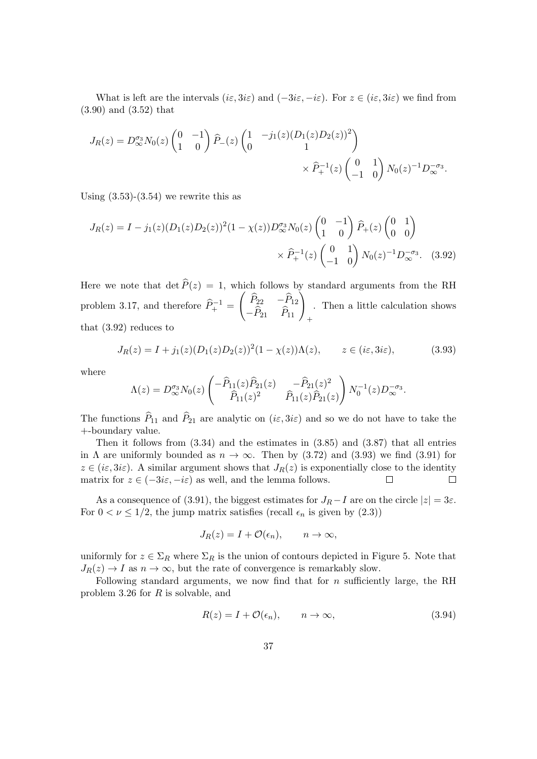What is left are the intervals  $(ie, 3ie)$  and  $(-3ie, -ie)$ . For  $z \in (ie, 3ie)$  we find from (3.90) and (3.52) that

$$
J_R(z) = D_{\infty}^{\sigma_3} N_0(z) \begin{pmatrix} 0 & -1 \\ 1 & 0 \end{pmatrix} \hat{P}_-(z) \begin{pmatrix} 1 & -j_1(z)(D_1(z)D_2(z))^2 \\ 0 & 1 \end{pmatrix} \times \hat{P}_+^{-1}(z) \begin{pmatrix} 0 & 1 \\ -1 & 0 \end{pmatrix} N_0(z)^{-1} D_{\infty}^{-\sigma_3}.
$$

Using  $(3.53)-(3.54)$  we rewrite this as

$$
J_R(z) = I - j_1(z)(D_1(z)D_2(z))^2(1 - \chi(z))D_{\infty}^{\sigma_3} N_0(z) \begin{pmatrix} 0 & -1 \\ 1 & 0 \end{pmatrix} \hat{P}_+(z) \begin{pmatrix} 0 & 1 \\ 0 & 0 \end{pmatrix}
$$

$$
\times \hat{P}_+(z) \begin{pmatrix} 0 & 1 \\ -1 & 0 \end{pmatrix} N_0(z)^{-1} D_{\infty}^{-\sigma_3}.
$$
 (3.92)

Here we note that  $\det \widehat{P}(z) = 1$ , which follows by standard arguments from the RH problem 3.17, and therefore  $\widehat{P}_+^{-1} =$  $\begin{pmatrix} \widehat{P}_{22} & -\widehat{P}_{12} \\ -\widehat{P}_{21} & \widehat{P}_{11} \end{pmatrix}_{+}$ . Then a little calculation shows that (3.92) reduces to

$$
J_R(z) = I + j_1(z)(D_1(z)D_2(z))^2(1 - \chi(z))\Lambda(z), \qquad z \in (i\varepsilon, 3i\varepsilon),
$$
 (3.93)

where

$$
\Lambda(z) = D_{\infty}^{\sigma_3} N_0(z) \begin{pmatrix} -\widehat{P}_{11}(z)\widehat{P}_{21}(z) & -\widehat{P}_{21}(z)^2 \\ \widehat{P}_{11}(z)^2 & \widehat{P}_{11}(z)\widehat{P}_{21}(z) \end{pmatrix} N_0^{-1}(z) D_{\infty}^{-\sigma_3}.
$$

The functions  $\widehat{P}_{11}$  and  $\widehat{P}_{21}$  are analytic on  $(i\varepsilon, 3i\varepsilon)$  and so we do not have to take the +-boundary value.

Then it follows from (3.34) and the estimates in (3.85) and (3.87) that all entries in  $\Lambda$  are uniformly bounded as  $n \to \infty$ . Then by (3.72) and (3.93) we find (3.91) for  $z \in (i\varepsilon, 3i\varepsilon)$ . A similar argument shows that  $J_R(z)$  is exponentially close to the identity matrix for  $z \in (-3i\varepsilon, -i\varepsilon)$  as well, and the lemma follows. matrix for  $z \in (-3i\varepsilon, -i\varepsilon)$  as well, and the lemma follows.

As a consequence of (3.91), the biggest estimates for  $J_R - I$  are on the circle  $|z| = 3\varepsilon$ . For  $0 < \nu \leq 1/2$ , the jump matrix satisfies (recall  $\epsilon_n$  is given by  $(2.3)$ )

$$
J_R(z) = I + \mathcal{O}(\epsilon_n), \qquad n \to \infty,
$$

uniformly for  $z \in \Sigma_R$  where  $\Sigma_R$  is the union of contours depicted in Figure 5. Note that  $J_R(z) \to I$  as  $n \to \infty$ , but the rate of convergence is remarkably slow.

Following standard arguments, we now find that for  $n$  sufficiently large, the RH problem 3.26 for  $R$  is solvable, and

$$
R(z) = I + \mathcal{O}(\epsilon_n), \qquad n \to \infty,
$$
\n(3.94)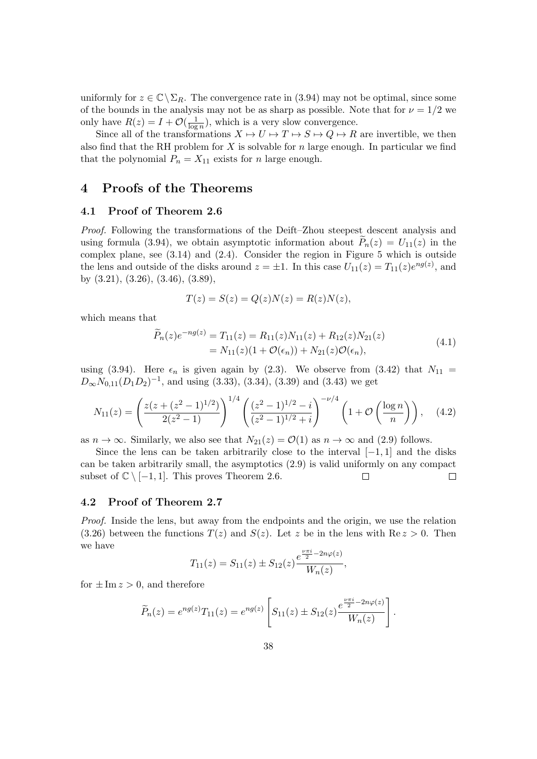uniformly for  $z \in \mathbb{C} \backslash \Sigma_R$ . The convergence rate in (3.94) may not be optimal, since some of the bounds in the analysis may not be as sharp as possible. Note that for  $\nu = 1/2$  we only have  $R(z) = I + \mathcal{O}(\frac{1}{\log z})$  $\frac{1}{\log n}$ , which is a very slow convergence.

Since all of the transformations  $X \mapsto U \mapsto T \mapsto S \mapsto Q \mapsto R$  are invertible, we then also find that the RH problem for  $X$  is solvable for  $n$  large enough. In particular we find that the polynomial  $P_n = X_{11}$  exists for n large enough.

#### 4 Proofs of the Theorems

#### 4.1 Proof of Theorem 2.6

Proof. Following the transformations of the Deift–Zhou steepest descent analysis and using formula (3.94), we obtain asymptotic information about  $P_n(z) = U_{11}(z)$  in the complex plane, see (3.14) and (2.4). Consider the region in Figure 5 which is outside the lens and outside of the disks around  $z = \pm 1$ . In this case  $U_{11}(z) = T_{11}(z)e^{ng(z)}$ , and by (3.21), (3.26), (3.46), (3.89),

$$
T(z) = S(z) = Q(z)N(z) = R(z)N(z),
$$

which means that

$$
\widetilde{P}_n(z)e^{-ng(z)} = T_{11}(z) = R_{11}(z)N_{11}(z) + R_{12}(z)N_{21}(z)
$$
\n
$$
= N_{11}(z)(1 + \mathcal{O}(\epsilon_n)) + N_{21}(z)\mathcal{O}(\epsilon_n),
$$
\n(4.1)

using (3.94). Here  $\epsilon_n$  is given again by (2.3). We observe from (3.42) that  $N_{11}$  =  $D_{\infty}N_{0,11}(D_1D_2)^{-1}$ , and using (3.33), (3.34), (3.39) and (3.43) we get

$$
N_{11}(z) = \left(\frac{z(z + (z^2 - 1)^{1/2})}{2(z^2 - 1)}\right)^{1/4} \left(\frac{(z^2 - 1)^{1/2} - i}{(z^2 - 1)^{1/2} + i}\right)^{-\nu/4} \left(1 + \mathcal{O}\left(\frac{\log n}{n}\right)\right), \quad (4.2)
$$

as  $n \to \infty$ . Similarly, we also see that  $N_{21}(z) = \mathcal{O}(1)$  as  $n \to \infty$  and (2.9) follows.

Since the lens can be taken arbitrarily close to the interval  $[-1,1]$  and the disks can be taken arbitrarily small, the asymptotics (2.9) is valid uniformly on any compact subset of  $\mathbb{C} \setminus [-1,1]$ . This proves Theorem 2.6.  $\Box$  $\Box$ 

#### 4.2 Proof of Theorem 2.7

Proof. Inside the lens, but away from the endpoints and the origin, we use the relation  $(3.26)$  between the functions  $T(z)$  and  $S(z)$ . Let z be in the lens with  $\text{Re } z > 0$ . Then we have

$$
T_{11}(z) = S_{11}(z) \pm S_{12}(z) \frac{e^{\frac{\nu \pi i}{2} - 2n\varphi(z)}}{W_n(z)},
$$

for  $\pm \text{Im } z > 0$ , and therefore

$$
\widetilde{P}_n(z) = e^{ng(z)} T_{11}(z) = e^{ng(z)} \left[ S_{11}(z) \pm S_{12}(z) \frac{e^{\frac{\nu \pi i}{2} - 2n\varphi(z)}}{W_n(z)} \right].
$$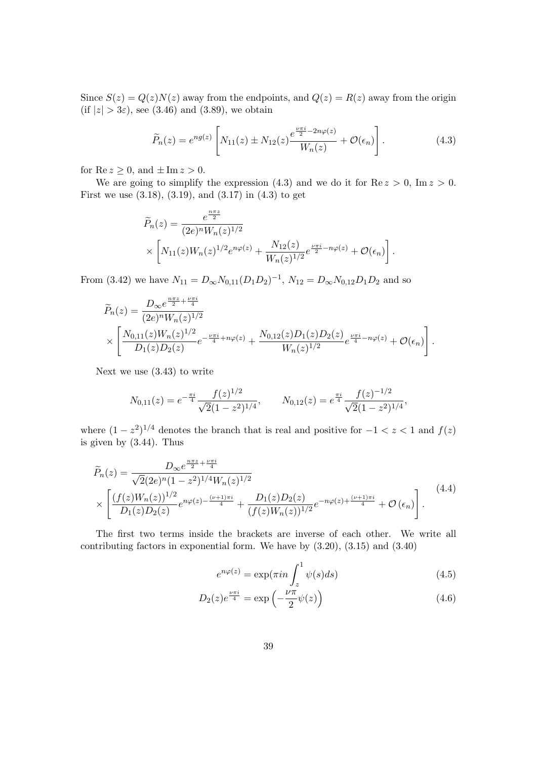Since  $S(z) = Q(z)N(z)$  away from the endpoints, and  $Q(z) = R(z)$  away from the origin (if  $|z| > 3\varepsilon$ ), see (3.46) and (3.89), we obtain

$$
\widetilde{P}_n(z) = e^{ng(z)} \left[ N_{11}(z) \pm N_{12}(z) \frac{e^{\frac{\nu \pi i}{2} - 2n\varphi(z)}}{W_n(z)} + \mathcal{O}(\epsilon_n) \right]. \tag{4.3}
$$

for  $\text{Re } z \geq 0$ , and  $\pm \text{Im } z > 0$ .

We are going to simplify the expression (4.3) and we do it for  $\text{Re } z > 0$ ,  $\text{Im } z > 0$ . First we use  $(3.18), (3.19), \text{ and } (3.17) \text{ in } (4.3) \text{ to get}$ 

$$
\widetilde{P}_n(z) = \frac{e^{\frac{n\pi z}{2}}}{(2e)^n W_n(z)^{1/2}} \times \left[ N_{11}(z) W_n(z)^{1/2} e^{n\varphi(z)} + \frac{N_{12}(z)}{W_n(z)^{1/2}} e^{\frac{\nu\pi i}{2} - n\varphi(z)} + \mathcal{O}(\epsilon_n) \right].
$$

From (3.42) we have  $N_{11} = D_{\infty} N_{0,11} (D_1 D_2)^{-1}$ ,  $N_{12} = D_{\infty} N_{0,12} D_1 D_2$  and so

$$
\widetilde{P}_n(z) = \frac{D_{\infty}e^{\frac{n\pi z}{2} + \frac{\nu\pi i}{4}}}{(2e)^n W_n(z)^{1/2}} \times \left[ \frac{N_{0,11}(z)W_n(z)^{1/2}}{D_1(z)D_2(z)} e^{-\frac{\nu\pi i}{4} + n\varphi(z)} + \frac{N_{0,12}(z)D_1(z)D_2(z)}{W_n(z)^{1/2}} e^{\frac{\nu\pi i}{4} - n\varphi(z)} + \mathcal{O}(\epsilon_n) \right].
$$

Next we use (3.43) to write

$$
N_{0,11}(z) = e^{-\frac{\pi i}{4}} \frac{f(z)^{1/2}}{\sqrt{2}(1-z^2)^{1/4}}, \qquad N_{0,12}(z) = e^{\frac{\pi i}{4}} \frac{f(z)^{-1/2}}{\sqrt{2}(1-z^2)^{1/4}},
$$

where  $(1 - z^2)^{1/4}$  denotes the branch that is real and positive for  $-1 < z < 1$  and  $f(z)$ is given by (3.44). Thus

$$
\widetilde{P}_n(z) = \frac{D_{\infty}e^{\frac{n\pi z}{2} + \frac{\nu\pi i}{4}}}{\sqrt{2}(2e)^n(1-z^2)^{1/4}W_n(z)^{1/2}} \times \left[ \frac{(f(z)W_n(z))^{1/2}}{D_1(z)D_2(z)} e^{n\varphi(z) - \frac{(\nu+1)\pi i}{4}} + \frac{D_1(z)D_2(z)}{(f(z)W_n(z))^{1/2}} e^{-n\varphi(z) + \frac{(\nu+1)\pi i}{4}} + \mathcal{O}\left(\epsilon_n\right) \right].
$$
\n(4.4)

The first two terms inside the brackets are inverse of each other. We write all contributing factors in exponential form. We have by  $(3.20)$ ,  $(3.15)$  and  $(3.40)$ 

$$
e^{n\varphi(z)} = \exp(\pi i n \int_{z}^{1} \psi(s) ds)
$$
\n(4.5)

$$
D_2(z)e^{\frac{\nu\pi i}{4}} = \exp\left(-\frac{\nu\pi}{2}\psi(z)\right) \tag{4.6}
$$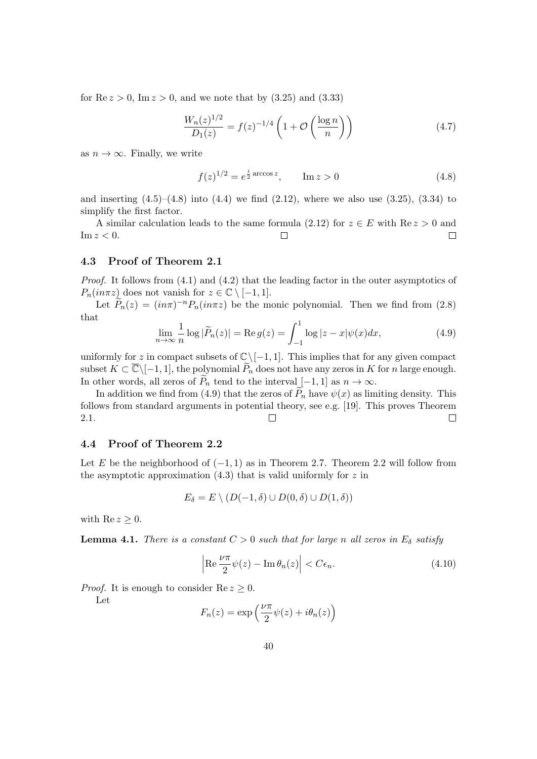for  $\text{Re } z > 0$ ,  $\text{Im } z > 0$ , and we note that by  $(3.25)$  and  $(3.33)$ 

$$
\frac{W_n(z)^{1/2}}{D_1(z)} = f(z)^{-1/4} \left( 1 + \mathcal{O}\left(\frac{\log n}{n}\right) \right) \tag{4.7}
$$

as  $n \to \infty$ . Finally, we write

$$
f(z)^{1/2} = e^{\frac{i}{2}\arccos z}, \qquad \text{Im } z > 0 \tag{4.8}
$$

and inserting  $(4.5)$ – $(4.8)$  into  $(4.4)$  we find  $(2.12)$ , where we also use  $(3.25)$ ,  $(3.34)$  to simplify the first factor.

A similar calculation leads to the same formula (2.12) for  $z \in E$  with  $\text{Re } z > 0$  and  $z < 0$ .  $\text{Im } z < 0.$ 

#### 4.3 Proof of Theorem 2.1

Proof. It follows from (4.1) and (4.2) that the leading factor in the outer asymptotics of  $P_n(in\pi z)$  does not vanish for  $z \in \mathbb{C} \setminus [-1,1].$ 

Let  $\tilde{P}_n(z) = (in\pi)^{-n} P_n(in\pi z)$  be the monic polynomial. Then we find from (2.8) that

$$
\lim_{n \to \infty} \frac{1}{n} \log |\widetilde{P}_n(z)| = \text{Re } g(z) = \int_{-1}^1 \log |z - x| \psi(x) dx,\tag{4.9}
$$

uniformly for z in compact subsets of  $\mathbb{C}\setminus[-1, 1]$ . This implies that for any given compact subset  $K \subset \overline{\mathbb{C}} \setminus [-1, 1]$ , the polynomial  $\widetilde{P}_n$  does not have any zeros in K for n large enough. In other words, all zeros of  $P_n$  tend to the interval  $[-1, 1]$  as  $n \to \infty$ .

In addition we find from (4.9) that the zeros of  $P_n$  have  $\psi(x)$  as limiting density. This follows from standard arguments in potential theory, see e.g. [19]. This proves Theorem 2.1.  $\Box$  $\Box$ 

#### 4.4 Proof of Theorem 2.2

Let E be the neighborhood of  $(-1, 1)$  as in Theorem 2.7. Theorem 2.2 will follow from the asymptotic approximation  $(4.3)$  that is valid uniformly for z in

$$
E_{\delta} = E \setminus (D(-1,\delta) \cup D(0,\delta) \cup D(1,\delta))
$$

with  $\text{Re } z \geq 0$ .

**Lemma 4.1.** There is a constant  $C > 0$  such that for large n all zeros in  $E_{\delta}$  satisfy

$$
\left| \operatorname{Re} \frac{\nu \pi}{2} \psi(z) - \operatorname{Im} \theta_n(z) \right| < C \epsilon_n. \tag{4.10}
$$

*Proof.* It is enough to consider  $\text{Re } z \geq 0$ .

Let

$$
F_n(z) = \exp\left(\frac{\nu \pi}{2} \psi(z) + i \theta_n(z)\right)
$$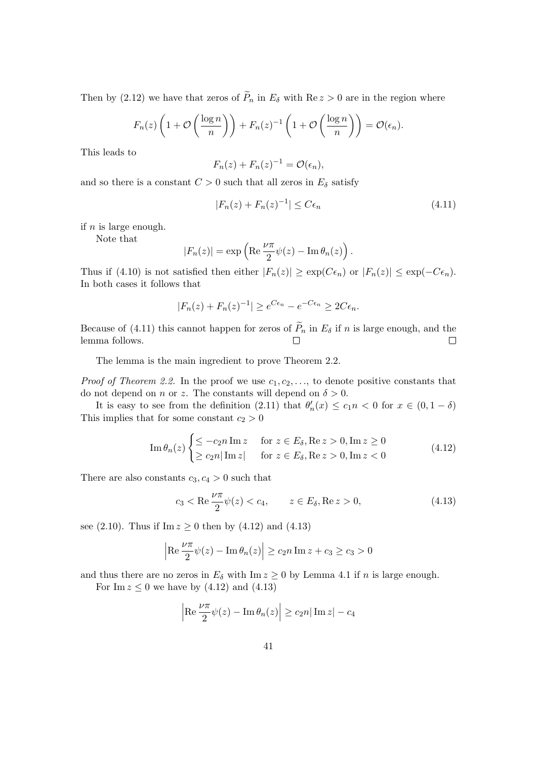Then by (2.12) we have that zeros of  $\widetilde{P}_n$  in  $E_\delta$  with  $\text{Re } z > 0$  are in the region where

$$
F_n(z)\left(1+\mathcal{O}\left(\frac{\log n}{n}\right)\right)+F_n(z)^{-1}\left(1+\mathcal{O}\left(\frac{\log n}{n}\right)\right)=\mathcal{O}(\epsilon_n).
$$

This leads to

$$
F_n(z) + F_n(z)^{-1} = \mathcal{O}(\epsilon_n),
$$

and so there is a constant  $C > 0$  such that all zeros in  $E_{\delta}$  satisfy

$$
|F_n(z) + F_n(z)^{-1}| \le C\epsilon_n \tag{4.11}
$$

if  $n$  is large enough.

Note that

$$
|F_n(z)| = \exp\left(\operatorname{Re}\frac{\nu\pi}{2}\psi(z) - \operatorname{Im}\theta_n(z)\right).
$$

Thus if (4.10) is not satisfied then either  $|F_n(z)| \geq \exp(C\epsilon_n)$  or  $|F_n(z)| \leq \exp(-C\epsilon_n)$ . In both cases it follows that

$$
|F_n(z) + F_n(z)^{-1}| \ge e^{C\epsilon_n} - e^{-C\epsilon_n} \ge 2C\epsilon_n.
$$

Because of (4.11) this cannot happen for zeros of  $\widetilde{P}_n$  in  $E_\delta$  if n is large enough, and the lemma follows. lemma follows.

The lemma is the main ingredient to prove Theorem 2.2.

*Proof of Theorem 2.2.* In the proof we use  $c_1, c_2, \ldots$ , to denote positive constants that do not depend on *n* or *z*. The constants will depend on  $\delta > 0$ .

It is easy to see from the definition (2.11) that  $\theta'_n(x) \leq c_1 n < 0$  for  $x \in (0, 1 - \delta)$ This implies that for some constant  $c_2 > 0$ 

$$
\operatorname{Im} \theta_n(z) \begin{cases} \leq -c_2 n \operatorname{Im} z & \text{for } z \in E_\delta, \operatorname{Re} z > 0, \operatorname{Im} z \geq 0 \\ \geq c_2 n |\operatorname{Im} z| & \text{for } z \in E_\delta, \operatorname{Re} z > 0, \operatorname{Im} z < 0 \end{cases} \tag{4.12}
$$

There are also constants  $c_3, c_4 > 0$  such that

$$
c_3 < \text{Re} \frac{\nu \pi}{2} \psi(z) < c_4, \qquad z \in E_\delta, \text{Re} z > 0,
$$
 (4.13)

see (2.10). Thus if  $\text{Im } z \ge 0$  then by (4.12) and (4.13)

$$
\left| \operatorname{Re} \frac{\nu \pi}{2} \psi(z) - \operatorname{Im} \theta_n(z) \right| \ge c_2 n \operatorname{Im} z + c_3 \ge c_3 > 0
$$

and thus there are no zeros in  $E_{\delta}$  with Im  $z \ge 0$  by Lemma 4.1 if n is large enough.

For Im  $z \leq 0$  we have by  $(4.12)$  and  $(4.13)$ 

$$
\left| \operatorname{Re} \frac{\nu \pi}{2} \psi(z) - \operatorname{Im} \theta_n(z) \right| \ge c_2 n |\operatorname{Im} z| - c_4
$$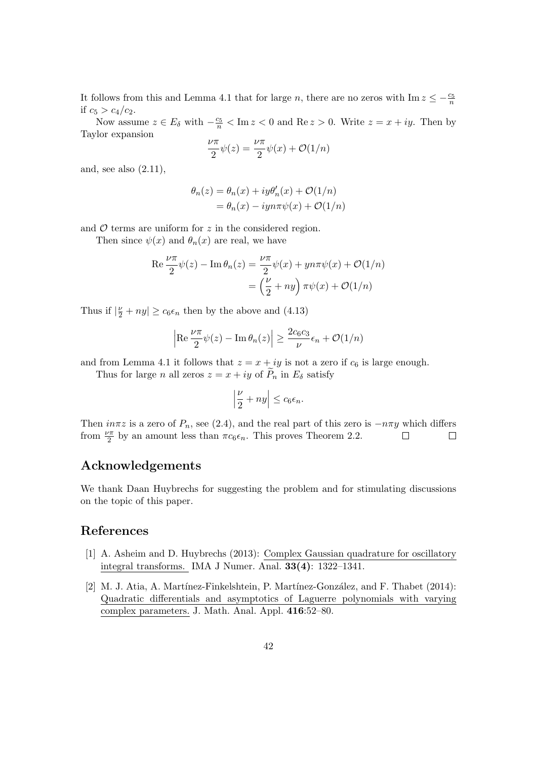It follows from this and Lemma 4.1 that for large n, there are no zeros with  $\text{Im } z \leq -\frac{c_5}{n}$ if  $c_5 > c_4/c_2$ .

Now assume  $z \in E_\delta$  with  $-\frac{c_5}{n} < \text{Im } z < 0$  and  $\text{Re } z > 0$ . Write  $z = x + iy$ . Then by Taylor expansion

$$
\frac{\nu\pi}{2}\psi(z) = \frac{\nu\pi}{2}\psi(x) + \mathcal{O}(1/n)
$$

and, see also  $(2.11)$ ,

$$
\theta_n(z) = \theta_n(x) + iy\theta'_n(x) + \mathcal{O}(1/n)
$$
  
=  $\theta_n(x) - iyn\pi\psi(x) + \mathcal{O}(1/n)$ 

and  $\mathcal O$  terms are uniform for  $z$  in the considered region.

Then since  $\psi(x)$  and  $\theta_n(x)$  are real, we have

$$
\operatorname{Re}\frac{\nu\pi}{2}\psi(z) - \operatorname{Im}\theta_n(z) = \frac{\nu\pi}{2}\psi(x) + yn\pi\psi(x) + \mathcal{O}(1/n)
$$

$$
= \left(\frac{\nu}{2} + ny\right)\pi\psi(x) + \mathcal{O}(1/n)
$$

Thus if  $|\frac{v}{2} + ny| \ge c_6 \epsilon_n$  then by the above and (4.13)

$$
\left| \operatorname{Re} \frac{\nu \pi}{2} \psi(z) - \operatorname{Im} \theta_n(z) \right| \ge \frac{2c_6 c_3}{\nu} \epsilon_n + \mathcal{O}(1/n)
$$

and from Lemma 4.1 it follows that  $z = x + iy$  is not a zero if  $c_6$  is large enough.

Thus for large n all zeros  $z = x + iy$  of  $P_n$  in  $E_\delta$  satisfy

$$
\left|\frac{\nu}{2}+ny\right|\leq c_6\epsilon_n.
$$

Then  $in\pi z$  is a zero of  $P_n$ , see (2.4), and the real part of this zero is  $-n\pi y$  which differs from  $\frac{\nu\pi}{2}$  by an amount less than  $\pi c_6 \epsilon_n$ . This proves Theorem 2.2. from  $\frac{\nu \pi}{2}$  by an amount less than  $\pi c_6 \epsilon_n$ . This proves Theorem 2.2.

#### Acknowledgements

We thank Daan Huybrechs for suggesting the problem and for stimulating discussions on the topic of this paper.

#### References

- [1] A. Asheim and D. Huybrechs (2013): Complex Gaussian quadrature for oscillatory integral transforms. IMA J Numer. Anal. 33(4): 1322–1341.
- [2] M. J. Atia, A. Martínez-Finkelshtein, P. Martínez-González, and F. Thabet (2014): Quadratic differentials and asymptotics of Laguerre polynomials with varying complex parameters. J. Math. Anal. Appl. 416:52–80.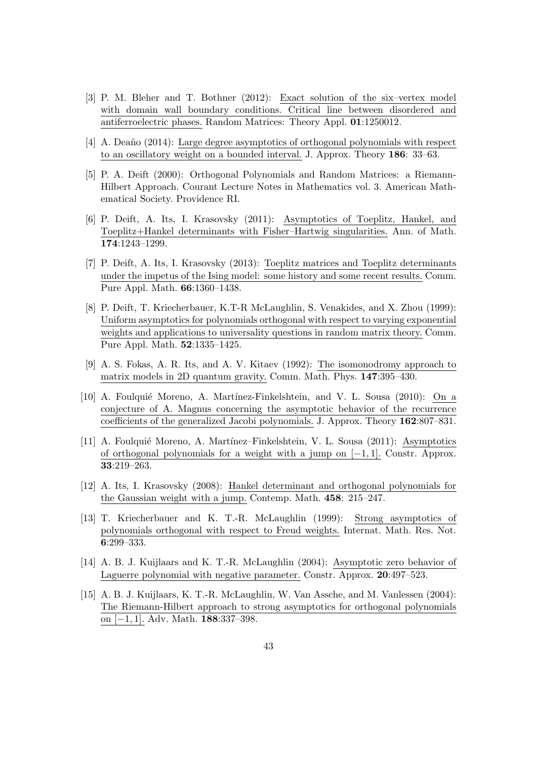- [3] P. M. Bleher and T. Bothner (2012): Exact solution of the six–vertex model with domain wall boundary conditions. Critical line between disordered and antiferroelectric phases. Random Matrices: Theory Appl. 01:1250012.
- [4] A. Deaño (2014): Large degree asymptotics of orthogonal polynomials with respect to an oscillatory weight on a bounded interval. J. Approx. Theory 186: 33–63.
- [5] P. A. Deift (2000): Orthogonal Polynomials and Random Matrices: a Riemann-Hilbert Approach. Courant Lecture Notes in Mathematics vol. 3. American Mathematical Society. Providence RI.
- [6] P. Deift, A. Its, I. Krasovsky (2011): Asymptotics of Toeplitz, Hankel, and Toeplitz+Hankel determinants with Fisher–Hartwig singularities. Ann. of Math. 174:1243–1299.
- [7] P. Deift, A. Its, I. Krasovsky (2013): Toeplitz matrices and Toeplitz determinants under the impetus of the Ising model: some history and some recent results. Comm. Pure Appl. Math. 66:1360–1438.
- [8] P. Deift, T. Kriecherbauer, K.T-R McLaughlin, S. Venakides, and X. Zhou (1999): Uniform asymptotics for polynomials orthogonal with respect to varying exponential weights and applications to universality questions in random matrix theory. Comm. Pure Appl. Math. 52:1335–1425.
- [9] A. S. Fokas, A. R. Its, and A. V. Kitaev (1992): The isomonodromy approach to matrix models in 2D quantum gravity. Comm. Math. Phys. 147:395–430.
- [10] A. Foulqui´e Moreno, A. Mart´ınez-Finkelshtein, and V. L. Sousa (2010): On a conjecture of A. Magnus concerning the asymptotic behavior of the recurrence coefficients of the generalized Jacobi polynomials. J. Approx. Theory 162:807–831.
- [11] A. Foulqui´e Moreno, A. Mart´ınez–Finkelshtein, V. L. Sousa (2011): Asymptotics of orthogonal polynomials for a weight with a jump on  $[-1, 1]$ . Constr. Approx. 33:219–263.
- [12] A. Its, I. Krasovsky (2008): Hankel determinant and orthogonal polynomials for the Gaussian weight with a jump. Contemp. Math. 458: 215–247.
- [13] T. Kriecherbauer and K. T.-R. McLaughlin (1999): Strong asymptotics of polynomials orthogonal with respect to Freud weights. Internat. Math. Res. Not. 6:299–333.
- [14] A. B. J. Kuijlaars and K. T.-R. McLaughlin (2004): Asymptotic zero behavior of Laguerre polynomial with negative parameter. Constr. Approx. 20:497–523.
- [15] A. B. J. Kuijlaars, K. T.-R. McLaughlin, W. Van Assche, and M. Vanlessen (2004): The Riemann-Hilbert approach to strong asymptotics for orthogonal polynomials on [−1, 1]. Adv. Math. 188:337–398.